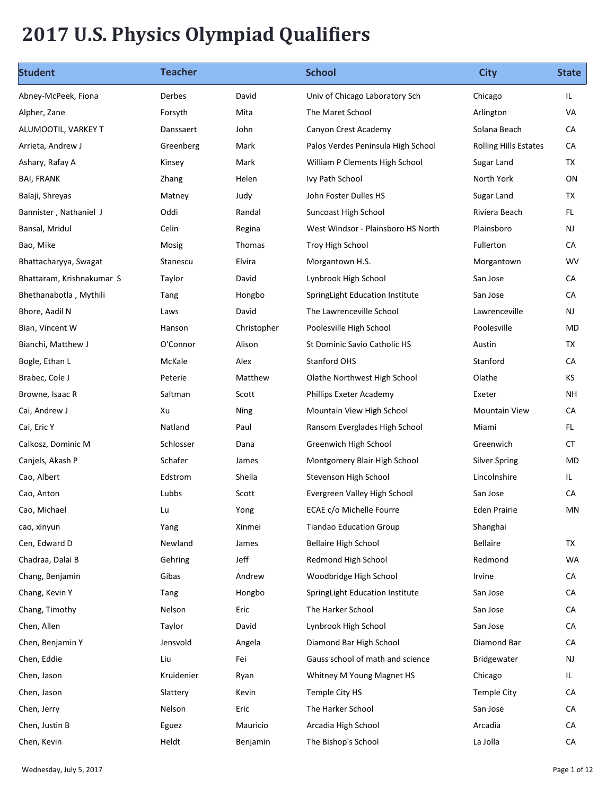## 2017 U.S. Physics Olympiad Qualifiers

| <b>Student</b>                  | <b>Teacher</b>     |                 | <b>School</b>                                         | <b>City</b>                          | <b>State</b> |
|---------------------------------|--------------------|-----------------|-------------------------------------------------------|--------------------------------------|--------------|
| Abney-McPeek, Fiona             | Derbes             | David           | Univ of Chicago Laboratory Sch                        | Chicago                              | IL.          |
| Alpher, Zane                    | Forsyth            | Mita            | The Maret School                                      | Arlington                            | VA           |
| ALUMOOTIL, VARKEY T             | Danssaert          | John            | Canyon Crest Academy                                  | Solana Beach                         | CA           |
| Arrieta, Andrew J               | Greenberg          | Mark            | Palos Verdes Peninsula High School                    | <b>Rolling Hills Estates</b>         | CA           |
| Ashary, Rafay A                 | Kinsey             | Mark            | William P Clements High School                        | Sugar Land                           | TX           |
| <b>BAI, FRANK</b>               | Zhang              | Helen           | Ivy Path School                                       | North York                           | ON           |
| Balaji, Shreyas                 | Matney             | Judy            | John Foster Dulles HS                                 | Sugar Land                           | TX           |
| Bannister, Nathaniel J          | Oddi               | Randal          | Suncoast High School                                  | Riviera Beach                        | FL.          |
| Bansal, Mridul                  | Celin              | Regina          | West Windsor - Plainsboro HS North                    | Plainsboro                           | <b>NJ</b>    |
| Bao, Mike                       | Mosig              | Thomas          | Troy High School                                      | Fullerton                            | CA           |
| Bhattacharyya, Swagat           | Stanescu           | Elvira          | Morgantown H.S.                                       | Morgantown                           | <b>WV</b>    |
| Bhattaram, Krishnakumar S       | Taylor             | David           | Lynbrook High School                                  | San Jose                             | ${\sf CA}$   |
| Bhethanabotla, Mythili          | Tang               | Hongbo          | SpringLight Education Institute                       | San Jose                             | ${\sf CA}$   |
| Bhore, Aadil N                  | Laws               | David           | The Lawrenceville School                              | Lawrenceville                        | NJ           |
| Bian, Vincent W                 | Hanson             | Christopher     | Poolesville High School                               | Poolesville                          | MD           |
| Bianchi, Matthew J              | O'Connor           | Alison          | St Dominic Savio Catholic HS                          | Austin                               | TX           |
| Bogle, Ethan L                  | McKale             | Alex            | Stanford OHS                                          | Stanford                             | CA           |
| Brabec, Cole J                  | Peterie            | Matthew         | Olathe Northwest High School                          | Olathe                               | KS           |
| Browne, Isaac R                 | Saltman            | Scott           | Phillips Exeter Academy                               | Exeter                               | <b>NH</b>    |
| Cai, Andrew J                   | Xu<br>Natland      | Ning<br>Paul    | Mountain View High School                             | <b>Mountain View</b><br>Miami        | CA<br>FL.    |
| Cai, Eric Y                     | Schlosser          |                 | Ransom Everglades High School                         | Greenwich                            |              |
| Calkosz, Dominic M              |                    | Dana            | Greenwich High School                                 |                                      | CT<br>MD     |
| Canjels, Akash P<br>Cao, Albert | Schafer<br>Edstrom | James<br>Sheila | Montgomery Blair High School<br>Stevenson High School | <b>Silver Spring</b><br>Lincolnshire | IL.          |
| Cao, Anton                      | Lubbs              | Scott           | Evergreen Valley High School                          | San Jose                             | ${\sf CA}$   |
| Cao, Michael                    | Lu                 | Yong            | ECAE c/o Michelle Fourre                              | Eden Prairie                         | MN           |
| cao, xinyun                     | Yang               | Xinmei          | <b>Tiandao Education Group</b>                        | Shanghai                             |              |
| Cen, Edward D                   | Newland            | James           | <b>Bellaire High School</b>                           | Bellaire                             | <b>TX</b>    |
| Chadraa, Dalai B                | Gehring            | Jeff            | Redmond High School                                   | Redmond                              | WA           |
| Chang, Benjamin                 | Gibas              | Andrew          | Woodbridge High School                                | Irvine                               | CA           |
| Chang, Kevin Y                  | Tang               | Hongbo          | SpringLight Education Institute                       | San Jose                             | ${\sf CA}$   |
| Chang, Timothy                  | Nelson             | Eric            | The Harker School                                     | San Jose                             | CA           |
| Chen, Allen                     | Taylor             | David           | Lynbrook High School                                  | San Jose                             | CA           |
| Chen, Benjamin Y                | Jensvold           | Angela          | Diamond Bar High School                               | Diamond Bar                          | CA           |
| Chen, Eddie                     | Liu                | Fei             | Gauss school of math and science                      | Bridgewater                          | NJ           |
| Chen, Jason                     | Kruidenier         | Ryan            | Whitney M Young Magnet HS                             | Chicago                              | IL.          |
| Chen, Jason                     | Slattery           | Kevin           | Temple City HS                                        | Temple City                          | CA           |
|                                 |                    | Eric            | The Harker School                                     |                                      | CA           |
| Chen, Jerry                     | Nelson             |                 |                                                       | San Jose                             |              |
| Chen, Justin B                  | Eguez              | Mauricio        | Arcadia High School                                   | Arcadia                              | CA           |
| Chen, Kevin                     | Heldt              | Benjamin        | The Bishop's School                                   | La Jolla                             | ${\sf CA}$   |
| Wednesday, July 5, 2017         |                    |                 |                                                       |                                      | Page 1 of 12 |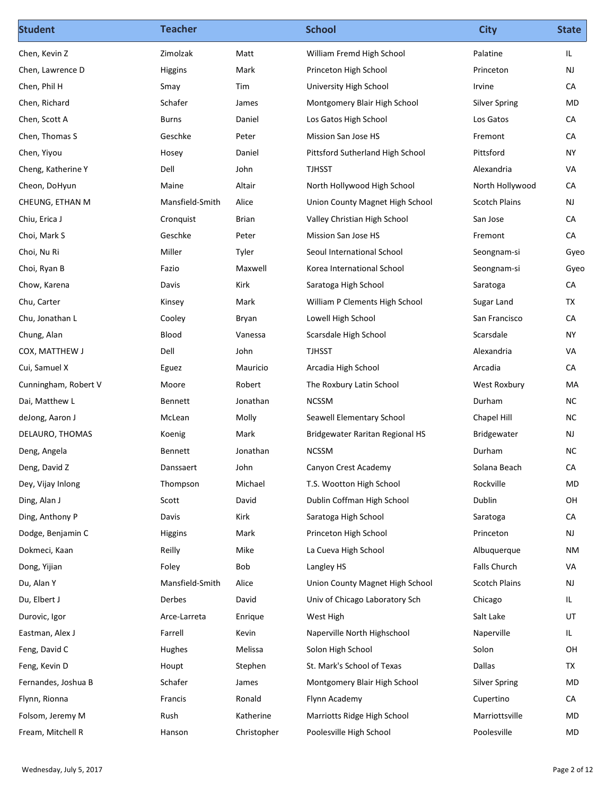| <b>Student</b>                   | <b>Teacher</b>           |                 | <b>School</b>                                                   | <b>City</b>                             | <b>State</b>    |
|----------------------------------|--------------------------|-----------------|-----------------------------------------------------------------|-----------------------------------------|-----------------|
| Chen, Kevin Z                    | Zimolzak                 | Matt            | William Fremd High School                                       | Palatine                                | IL.             |
| Chen, Lawrence D                 | Higgins                  | Mark            | Princeton High School                                           | Princeton                               | <b>NJ</b>       |
| Chen, Phil H                     | Smay                     | Tim             | University High School                                          | Irvine                                  | CA              |
| Chen, Richard                    | Schafer                  | James           | Montgomery Blair High School                                    | <b>Silver Spring</b>                    | MD              |
| Chen, Scott A                    | Burns                    | Daniel          | Los Gatos High School                                           | Los Gatos                               | CA              |
| Chen, Thomas S                   | Geschke                  | Peter           | Mission San Jose HS                                             | Fremont                                 | CA              |
| Chen, Yiyou                      | Hosey                    | Daniel          | Pittsford Sutherland High School                                | Pittsford                               | <b>NY</b>       |
| Cheng, Katherine Y               | Dell                     | John            | <b>TJHSST</b>                                                   | Alexandria                              | VA              |
| Cheon, DoHyun                    | Maine<br>Mansfield-Smith | Altair<br>Alice | North Hollywood High School                                     | North Hollywood<br><b>Scotch Plains</b> | CA<br><b>NJ</b> |
| CHEUNG, ETHAN M<br>Chiu, Erica J | Cronquist                | Brian           | Union County Magnet High School<br>Valley Christian High School | San Jose                                | CA              |
| Choi, Mark S                     | Geschke                  | Peter           | Mission San Jose HS                                             | Fremont                                 | ${\sf CA}$      |
| Choi, Nu Ri                      | Miller                   | Tyler           | Seoul International School                                      | Seongnam-si                             | Gyeo            |
| Choi, Ryan B                     | Fazio                    | Maxwell         | Korea International School                                      | Seongnam-si                             | Gyeo            |
| Chow, Karena                     | Davis                    | Kirk            | Saratoga High School                                            | Saratoga                                | CA              |
| Chu, Carter                      | Kinsey                   | Mark            | William P Clements High School                                  | Sugar Land                              | TX              |
| Chu, Jonathan L                  | Cooley                   | Bryan           | Lowell High School                                              | San Francisco                           | CA              |
| Chung, Alan                      | Blood                    | Vanessa         | Scarsdale High School                                           | Scarsdale                               | <b>NY</b>       |
| COX, MATTHEW J                   | Dell                     | John            | <b>TJHSST</b>                                                   | Alexandria                              | VA              |
| Cui, Samuel X                    | Eguez                    | Mauricio        | Arcadia High School                                             | Arcadia                                 | CA              |
| Cunningham, Robert V             | Moore                    | Robert          | The Roxbury Latin School                                        | West Roxbury                            | MA              |
| Dai, Matthew L                   | Bennett                  | Jonathan        | <b>NCSSM</b>                                                    | Durham                                  | <b>NC</b>       |
| deJong, Aaron J                  | McLean                   | Molly           | Seawell Elementary School                                       | Chapel Hill                             | <b>NC</b>       |
| DELAURO, THOMAS                  | Koenig                   | Mark            | <b>Bridgewater Raritan Regional HS</b>                          | Bridgewater                             | NJ              |
| Deng, Angela                     | Bennett                  | Jonathan        | <b>NCSSM</b>                                                    | Durham                                  | <b>NC</b>       |
| Deng, David Z                    | Danssaert                | John            | Canyon Crest Academy                                            | Solana Beach                            | CA              |
| Dey, Vijay Inlong                | Thompson                 | Michael         | T.S. Wootton High School                                        | Rockville                               | MD              |
| Ding, Alan J                     | Scott                    | David           | Dublin Coffman High School                                      | Dublin                                  | OH              |
| Ding, Anthony P                  | Davis                    | Kirk            | Saratoga High School                                            | Saratoga                                | CA              |
| Dodge, Benjamin C                | Higgins                  | Mark            | Princeton High School                                           | Princeton                               | NJ              |
| Dokmeci, Kaan                    | Reilly                   | Mike            | La Cueva High School                                            | Albuquerque                             | <b>NM</b>       |
| Dong, Yijian                     | Foley                    | Bob             | Langley HS                                                      | Falls Church                            | VA              |
| Du, Alan Y                       | Mansfield-Smith          | Alice           | Union County Magnet High School                                 | <b>Scotch Plains</b>                    | NJ              |
| Du, Elbert J                     | Derbes                   | David           | Univ of Chicago Laboratory Sch                                  | Chicago                                 | IL.             |
| Durovic, Igor                    | Arce-Larreta             | Enrique         | West High                                                       | Salt Lake                               | UT              |
| Eastman, Alex J                  | Farrell                  | Kevin           | Naperville North Highschool                                     | Naperville                              | IL.             |
| Feng, David C                    | Hughes                   | Melissa         | Solon High School                                               | Solon                                   | OH              |
| Feng, Kevin D                    | Houpt                    | Stephen         | St. Mark's School of Texas                                      | Dallas                                  | <b>TX</b>       |
| Fernandes, Joshua B              | Schafer                  | James           | Montgomery Blair High School                                    | <b>Silver Spring</b>                    | MD              |
| Flynn, Rionna                    | Francis                  | Ronald          | Flynn Academy                                                   | Cupertino                               | ${\sf CA}$      |
| Folsom, Jeremy M                 | Rush                     | Katherine       | Marriotts Ridge High School                                     | Marriottsville                          | MD              |
| Fream, Mitchell R                | Hanson                   | Christopher     | Poolesville High School                                         | Poolesville                             | MD              |
|                                  |                          |                 |                                                                 |                                         |                 |
| Wednesday, July 5, 2017          |                          |                 |                                                                 |                                         | Page 2 of 12    |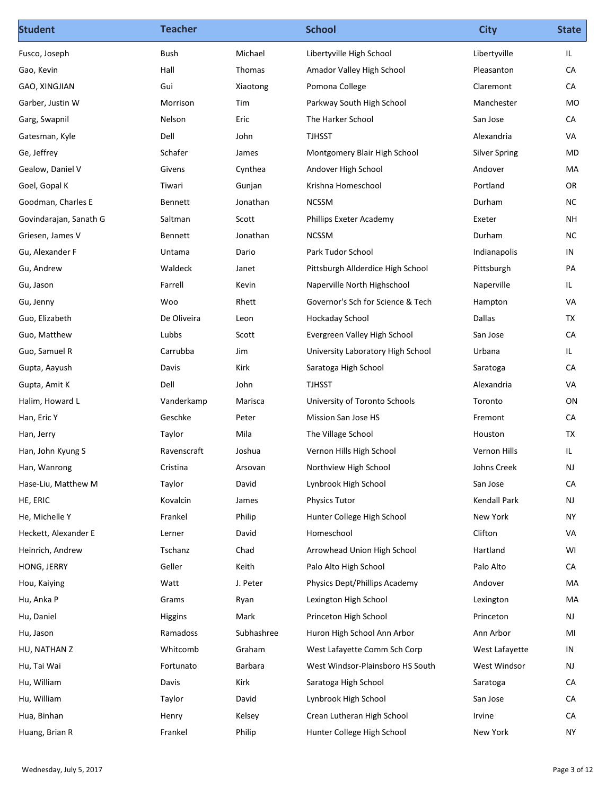| <b>Student</b>                      | <b>Teacher</b>     |                    | <b>School</b>                      | <b>City</b>          | <b>State</b>    |
|-------------------------------------|--------------------|--------------------|------------------------------------|----------------------|-----------------|
| Fusco, Joseph                       | Bush               | Michael            | Libertyville High School           | Libertyville         | IL.             |
| Gao, Kevin                          | Hall               | Thomas             | Amador Valley High School          | Pleasanton           | CA              |
| GAO, XINGJIAN                       | Gui                | Xiaotong           | Pomona College                     | Claremont            | CA              |
| Garber, Justin W                    | Morrison           | Tim                | Parkway South High School          | Manchester           | MO              |
| Garg, Swapnil                       | Nelson             | Eric               | The Harker School                  | San Jose             | CA              |
| Gatesman, Kyle                      | Dell               | John               | <b>TJHSST</b>                      | Alexandria           | VA              |
| Ge, Jeffrey                         | Schafer            | James              | Montgomery Blair High School       | <b>Silver Spring</b> | MD              |
| Gealow, Daniel V                    | Givens             | Cynthea            | Andover High School                | Andover              | MA              |
| Goel, Gopal K<br>Goodman, Charles E | Tiwari             | Gunjan<br>Jonathan | Krishna Homeschool<br><b>NCSSM</b> | Portland<br>Durham   | OR<br><b>NC</b> |
| Govindarajan, Sanath G              | Bennett<br>Saltman | Scott              | Phillips Exeter Academy            | Exeter               | <b>NH</b>       |
| Griesen, James V                    | Bennett            | Jonathan           | <b>NCSSM</b>                       | Durham               | <b>NC</b>       |
| Gu, Alexander F                     | Untama             | Dario              | Park Tudor School                  | Indianapolis         | IN              |
| Gu, Andrew                          | Waldeck            | Janet              | Pittsburgh Allderdice High School  | Pittsburgh           | PA              |
| Gu, Jason                           | Farrell            | Kevin              | Naperville North Highschool        | Naperville           | IL              |
| Gu, Jenny                           | Woo                | Rhett              | Governor's Sch for Science & Tech  | Hampton              | VA              |
| Guo, Elizabeth                      | De Oliveira        | Leon               | Hockaday School                    | Dallas               | TX              |
| Guo, Matthew                        | Lubbs              | Scott              | Evergreen Valley High School       | San Jose             | CA              |
| Guo, Samuel R                       | Carrubba           | Jim                | University Laboratory High School  | Urbana               | IL.             |
| Gupta, Aayush                       | Davis              | Kirk               | Saratoga High School               | Saratoga             | CA              |
| Gupta, Amit K                       | Dell               | John               | <b>TJHSST</b>                      | Alexandria           | VA              |
| Halim, Howard L                     | Vanderkamp         | Marisca            | University of Toronto Schools      | Toronto              | ON              |
| Han, Eric Y                         | Geschke            | Peter              | Mission San Jose HS                | Fremont              | CA              |
| Han, Jerry                          | Taylor             | Mila               | The Village School                 | Houston              | TX              |
| Han, John Kyung S                   | Ravenscraft        | Joshua             | Vernon Hills High School           | Vernon Hills         | IL              |
| Han, Wanrong                        | Cristina           | Arsovan            | Northview High School              | Johns Creek          | NJ              |
| Hase-Liu, Matthew M                 | Taylor             | David              | Lynbrook High School               | San Jose             | CA              |
| HE, ERIC                            | Kovalcin           | James              | <b>Physics Tutor</b>               | Kendall Park         | NJ              |
| He, Michelle Y                      | Frankel            | Philip             | Hunter College High School         | New York             | <b>NY</b>       |
| Heckett, Alexander E                | Lerner             | David              | Homeschool                         | Clifton              | VA              |
| Heinrich, Andrew                    | Tschanz            | Chad               | Arrowhead Union High School        | Hartland             | WI              |
| HONG, JERRY                         | Geller             | Keith              | Palo Alto High School              | Palo Alto            | ${\sf CA}$      |
| Hou, Kaiying                        | Watt               | J. Peter           | Physics Dept/Phillips Academy      | Andover              | MA              |
| Hu, Anka P                          | Grams              | Ryan               | Lexington High School              | Lexington            | MA              |
| Hu, Daniel                          | Higgins            | Mark               | Princeton High School              | Princeton            | NJ              |
| Hu, Jason                           | Ramadoss           | Subhashree         | Huron High School Ann Arbor        | Ann Arbor            | MI              |
| HU, NATHAN Z                        | Whitcomb           | Graham             | West Lafayette Comm Sch Corp       | West Lafayette       | IN              |
| Hu, Tai Wai                         | Fortunato          | Barbara            | West Windsor-Plainsboro HS South   | West Windsor         | NJ              |
| Hu, William                         | Davis              | Kirk               | Saratoga High School               | Saratoga             | CA              |
| Hu, William                         | Taylor             | David              | Lynbrook High School               | San Jose             | ${\sf CA}$      |
| Hua, Binhan                         | Henry              | Kelsey             | Crean Lutheran High School         | Irvine               | ${\sf CA}$      |
| Huang, Brian R                      | Frankel            | Philip             | Hunter College High School         | New York             | <b>NY</b>       |
|                                     |                    |                    |                                    |                      |                 |
| Wednesday, July 5, 2017             |                    |                    |                                    |                      | Page 3 of 12    |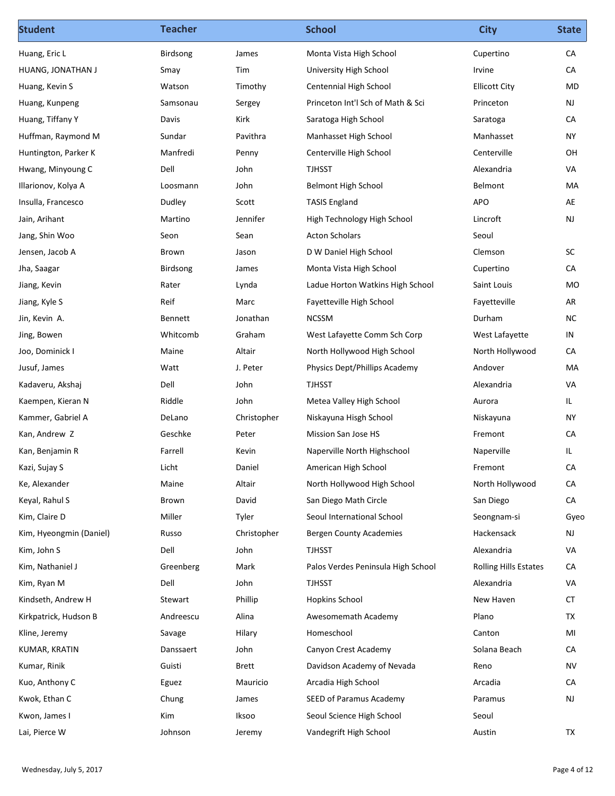| <b>Student</b>          | <b>Teacher</b> |              | <b>School</b>                      | <b>City</b>                  | <b>State</b>  |
|-------------------------|----------------|--------------|------------------------------------|------------------------------|---------------|
| Huang, Eric L           | Birdsong       | James        | Monta Vista High School            | Cupertino                    | CA            |
| HUANG, JONATHAN J       | Smay           | Tim          | University High School             | Irvine                       | CA            |
| Huang, Kevin S          | Watson         | Timothy      | Centennial High School             | <b>Ellicott City</b>         | MD            |
| Huang, Kunpeng          | Samsonau       | Sergey       | Princeton Int'l Sch of Math & Sci  | Princeton                    | NJ            |
| Huang, Tiffany Y        | Davis          | Kirk         | Saratoga High School               | Saratoga                     | CA            |
| Huffman, Raymond M      | Sundar         | Pavithra     | Manhasset High School              | Manhasset                    | <b>NY</b>     |
| Huntington, Parker K    | Manfredi       | Penny        | Centerville High School            | Centerville                  | OH            |
| Hwang, Minyoung C       | Dell           | John         | <b>TJHSST</b>                      | Alexandria                   | VA            |
| Illarionov, Kolya A     | Loosmann       | John         | <b>Belmont High School</b>         | Belmont                      | MA            |
| Insulla, Francesco      | Dudley         | Scott        | <b>TASIS England</b>               | APO                          | AE            |
| Jain, Arihant           | Martino        | Jennifer     | High Technology High School        | Lincroft                     | NJ            |
| Jang, Shin Woo          | Seon           | Sean         | <b>Acton Scholars</b>              | Seoul                        |               |
| Jensen, Jacob A         | Brown          | Jason        | D W Daniel High School             | Clemson                      | $\sf SC$      |
| Jha, Saagar             | Birdsong       | James        | Monta Vista High School            | Cupertino                    | ${\sf CA}$    |
| Jiang, Kevin            | Rater          | Lynda        | Ladue Horton Watkins High School   | Saint Louis                  | MO            |
| Jiang, Kyle S           | Reif           | Marc         | Fayetteville High School           | Fayetteville                 | AR            |
| Jin, Kevin A.           | Bennett        | Jonathan     | <b>NCSSM</b>                       | Durham                       | ${\sf NC}$    |
| Jing, Bowen             | Whitcomb       | Graham       | West Lafayette Comm Sch Corp       | West Lafayette               | IN            |
| Joo, Dominick I         | Maine          | Altair       | North Hollywood High School        | North Hollywood              | CA            |
| Jusuf, James            | Watt           | J. Peter     | Physics Dept/Phillips Academy      | Andover                      | MA            |
| Kadaveru, Akshaj        | Dell           | John         | <b>TJHSST</b>                      | Alexandria                   | VA            |
| Kaempen, Kieran N       | Riddle         | John         | Metea Valley High School           | Aurora                       | IL.           |
| Kammer, Gabriel A       | DeLano         | Christopher  | Niskayuna Hisgh School             | Niskayuna                    | <b>NY</b>     |
| Kan, Andrew Z           | Geschke        | Peter        | Mission San Jose HS                | Fremont                      | CA            |
| Kan, Benjamin R         | Farrell        | Kevin        | Naperville North Highschool        | Naperville                   | IL.           |
| Kazi, Sujay S           | Licht          | Daniel       | American High School               | Fremont                      | CA            |
| Ke, Alexander           | Maine          | Altair       | North Hollywood High School        | North Hollywood              | ${\sf CA}$    |
| Keyal, Rahul S          | Brown          | David        | San Diego Math Circle              | San Diego                    | CA            |
| Kim, Claire D           | Miller         | Tyler        | Seoul International School         | Seongnam-si                  | Gyeo          |
| Kim, Hyeongmin (Daniel) | Russo          | Christopher  | <b>Bergen County Academies</b>     | Hackensack                   | NJ            |
| Kim, John S             | Dell           | John         | <b>TJHSST</b>                      | Alexandria                   | VA            |
| Kim, Nathaniel J        | Greenberg      | Mark         | Palos Verdes Peninsula High School | <b>Rolling Hills Estates</b> | CA            |
| Kim, Ryan M             | Dell           | John         | <b>TJHSST</b>                      | Alexandria                   | VA            |
| Kindseth, Andrew H      | Stewart        | Phillip      | <b>Hopkins School</b>              | New Haven                    | <b>CT</b>     |
| Kirkpatrick, Hudson B   | Andreescu      | Alina        | Awesomemath Academy                | Plano                        | TX            |
| Kline, Jeremy           | Savage         | Hilary       | Homeschool                         | Canton                       | MI            |
| KUMAR, KRATIN           | Danssaert      | John         | Canyon Crest Academy               | Solana Beach                 | CA            |
| Kumar, Rinik            | Guisti         | <b>Brett</b> | Davidson Academy of Nevada         | Reno                         | <b>NV</b>     |
| Kuo, Anthony C          | Eguez          | Mauricio     | Arcadia High School                | Arcadia                      | CA            |
| Kwok, Ethan C           | Chung          | James        | SEED of Paramus Academy            | Paramus                      | $\mathsf{NJ}$ |
| Kwon, James I           | Kim            | Iksoo        | Seoul Science High School          | Seoul                        |               |
| Lai, Pierce W           | Johnson        | Jeremy       | Vandegrift High School             | Austin                       | TX            |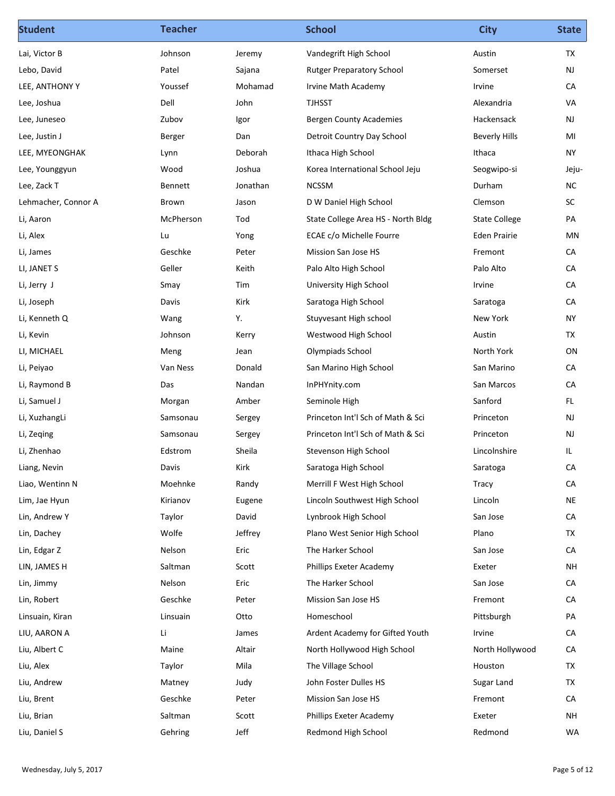| Vandegrift High School<br>Austin<br>TX<br>Lai, Victor B<br>Johnson<br>Jeremy<br>NJ<br>Lebo, David<br>Patel<br>Sajana<br><b>Rutger Preparatory School</b><br>Somerset<br>Irvine<br>CA<br>LEE, ANTHONY Y<br>Youssef<br>Mohamad<br>Irvine Math Academy<br>Dell<br>John<br><b>TJHSST</b><br>VA<br>Lee, Joshua<br>Alexandria<br>NJ<br>Zubov<br><b>Bergen County Academies</b><br>Hackensack<br>Lee, Juneseo<br>Igor<br>Detroit Country Day School<br><b>Beverly Hills</b><br>MI<br>Lee, Justin J<br>Berger<br>Dan<br><b>NY</b><br>LEE, MYEONGHAK<br>Deborah<br>Ithaca High School<br>Ithaca<br>Lynn<br>Wood<br>Joshua<br>Korea International School Jeju<br>Seogwipo-si<br>Lee, Younggyun<br>Jeju-<br><b>NCSSM</b><br>Durham<br><b>NC</b><br>Lee, Zack T<br>Jonathan<br>Bennett<br>D W Daniel High School<br>SC<br>Lehmacher, Connor A<br>Clemson<br>Brown<br>Jason<br>PA<br>Li, Aaron<br>McPherson<br>Tod<br>State College Area HS - North Bldg<br><b>State College</b><br>ECAE c/o Michelle Fourre<br>MN<br>Li, Alex<br>Lu<br>Yong<br>Eden Prairie<br>${\sf CA}$<br>Li, James<br>Geschke<br>Mission San Jose HS<br>Fremont<br>Peter<br>Geller<br>Keith<br>Palo Alto High School<br>Palo Alto<br>CA<br>LI, JANET S<br>Tim<br>${\sf CA}$<br>Irvine<br>Li, Jerry J<br>Smay<br>University High School<br>Kirk<br>Saratoga High School<br>Saratoga<br>CA<br>Li, Joseph<br>Davis<br>Y.<br>Stuyvesant High school<br>New York<br><b>NY</b><br>Li, Kenneth Q<br>Wang<br><b>TX</b><br>Li, Kevin<br>Westwood High School<br>Austin<br>Johnson<br>Kerry<br>Olympiads School<br>North York<br>ON<br>LI, MICHAEL<br>Meng<br>Jean<br>CA<br>Li, Peiyao<br>Van Ness<br>Donald<br>San Marino High School<br>San Marino<br>San Marcos<br>CA<br>Li, Raymond B<br>Das<br>Nandan<br>InPHYnity.com<br>Seminole High<br>Sanford<br>FL.<br>Li, Samuel J<br>Morgan<br>Amber<br>Princeton Int'l Sch of Math & Sci<br>NJ<br>Li, XuzhangLi<br>Samsonau<br>Princeton<br>Sergey<br>Princeton Int'l Sch of Math & Sci<br>NJ<br>Li, Zeqing<br>Samsonau<br>Princeton<br>Sergey<br>Sheila<br>Stevenson High School<br>IL<br>Li, Zhenhao<br>Edstrom<br>Lincolnshire<br>${\sf CA}$<br>Davis<br>Kirk<br>Saratoga High School<br>Liang, Nevin<br>Saratoga<br>Liao, Wentinn N<br>Moehnke<br>Merrill F West High School<br>CA<br>Randy<br>Tracy<br><b>NE</b><br>Kirianov<br>Lincoln Southwest High School<br>Lincoln<br>Lim, Jae Hyun<br>Eugene<br>David<br>Lynbrook High School<br>San Jose<br>CA<br>Lin, Andrew Y<br>Taylor<br><b>TX</b><br>Wolfe<br>Jeffrey<br>Plano<br>Lin, Dachey<br>Plano West Senior High School<br>${\sf CA}$<br>Nelson<br>Eric<br>The Harker School<br>San Jose<br>Lin, Edgar Z<br><b>NH</b><br>LIN, JAMES H<br>Saltman<br>Scott<br>Phillips Exeter Academy<br>Exeter<br>${\sf CA}$<br>Eric<br>The Harker School<br>Lin, Jimmy<br>Nelson<br>San Jose<br>Lin, Robert<br>Geschke<br>Mission San Jose HS<br>CA<br>Peter<br>Fremont<br>PA<br>Otto<br>Homeschool<br>Pittsburgh<br>Linsuain, Kiran<br>Linsuain<br>Li<br>Ardent Academy for Gifted Youth<br>CA<br>LIU, AARON A<br>Irvine<br>James<br>Liu, Albert C<br>North Hollywood High School<br>North Hollywood<br>CA<br>Maine<br>Altair<br><b>TX</b><br>Mila<br>The Village School<br>Liu, Alex<br>Taylor<br>Houston<br>John Foster Dulles HS<br>Sugar Land<br>Judy<br>Liu, Andrew<br>Matney<br>TX.<br>${\sf CA}$<br>Liu, Brent<br>Geschke<br>Mission San Jose HS<br>Peter<br>Fremont<br>Liu, Brian<br>Phillips Exeter Academy<br>Saltman<br>Scott<br>Exeter<br><b>NH</b> | <b>Student</b> | <b>Teacher</b> |      | <b>School</b>       | <b>City</b> | <b>State</b> |
|--------------------------------------------------------------------------------------------------------------------------------------------------------------------------------------------------------------------------------------------------------------------------------------------------------------------------------------------------------------------------------------------------------------------------------------------------------------------------------------------------------------------------------------------------------------------------------------------------------------------------------------------------------------------------------------------------------------------------------------------------------------------------------------------------------------------------------------------------------------------------------------------------------------------------------------------------------------------------------------------------------------------------------------------------------------------------------------------------------------------------------------------------------------------------------------------------------------------------------------------------------------------------------------------------------------------------------------------------------------------------------------------------------------------------------------------------------------------------------------------------------------------------------------------------------------------------------------------------------------------------------------------------------------------------------------------------------------------------------------------------------------------------------------------------------------------------------------------------------------------------------------------------------------------------------------------------------------------------------------------------------------------------------------------------------------------------------------------------------------------------------------------------------------------------------------------------------------------------------------------------------------------------------------------------------------------------------------------------------------------------------------------------------------------------------------------------------------------------------------------------------------------------------------------------------------------------------------------------------------------------------------------------------------------------------------------------------------------------------------------------------------------------------------------------------------------------------------------------------------------------------------------------------------------------------------------------------------------------------------------------------------------------------------------------------------------------------------------------------------------------------------------------------------------------------------------------------------------------------------------------------------------------------------------------------------------------------------------------------------------------------------------------------------------------------------------------------------------------------------------------------|----------------|----------------|------|---------------------|-------------|--------------|
|                                                                                                                                                                                                                                                                                                                                                                                                                                                                                                                                                                                                                                                                                                                                                                                                                                                                                                                                                                                                                                                                                                                                                                                                                                                                                                                                                                                                                                                                                                                                                                                                                                                                                                                                                                                                                                                                                                                                                                                                                                                                                                                                                                                                                                                                                                                                                                                                                                                                                                                                                                                                                                                                                                                                                                                                                                                                                                                                                                                                                                                                                                                                                                                                                                                                                                                                                                                                                                                                                                        |                |                |      |                     |             |              |
|                                                                                                                                                                                                                                                                                                                                                                                                                                                                                                                                                                                                                                                                                                                                                                                                                                                                                                                                                                                                                                                                                                                                                                                                                                                                                                                                                                                                                                                                                                                                                                                                                                                                                                                                                                                                                                                                                                                                                                                                                                                                                                                                                                                                                                                                                                                                                                                                                                                                                                                                                                                                                                                                                                                                                                                                                                                                                                                                                                                                                                                                                                                                                                                                                                                                                                                                                                                                                                                                                                        |                |                |      |                     |             |              |
|                                                                                                                                                                                                                                                                                                                                                                                                                                                                                                                                                                                                                                                                                                                                                                                                                                                                                                                                                                                                                                                                                                                                                                                                                                                                                                                                                                                                                                                                                                                                                                                                                                                                                                                                                                                                                                                                                                                                                                                                                                                                                                                                                                                                                                                                                                                                                                                                                                                                                                                                                                                                                                                                                                                                                                                                                                                                                                                                                                                                                                                                                                                                                                                                                                                                                                                                                                                                                                                                                                        |                |                |      |                     |             |              |
|                                                                                                                                                                                                                                                                                                                                                                                                                                                                                                                                                                                                                                                                                                                                                                                                                                                                                                                                                                                                                                                                                                                                                                                                                                                                                                                                                                                                                                                                                                                                                                                                                                                                                                                                                                                                                                                                                                                                                                                                                                                                                                                                                                                                                                                                                                                                                                                                                                                                                                                                                                                                                                                                                                                                                                                                                                                                                                                                                                                                                                                                                                                                                                                                                                                                                                                                                                                                                                                                                                        |                |                |      |                     |             |              |
|                                                                                                                                                                                                                                                                                                                                                                                                                                                                                                                                                                                                                                                                                                                                                                                                                                                                                                                                                                                                                                                                                                                                                                                                                                                                                                                                                                                                                                                                                                                                                                                                                                                                                                                                                                                                                                                                                                                                                                                                                                                                                                                                                                                                                                                                                                                                                                                                                                                                                                                                                                                                                                                                                                                                                                                                                                                                                                                                                                                                                                                                                                                                                                                                                                                                                                                                                                                                                                                                                                        |                |                |      |                     |             |              |
|                                                                                                                                                                                                                                                                                                                                                                                                                                                                                                                                                                                                                                                                                                                                                                                                                                                                                                                                                                                                                                                                                                                                                                                                                                                                                                                                                                                                                                                                                                                                                                                                                                                                                                                                                                                                                                                                                                                                                                                                                                                                                                                                                                                                                                                                                                                                                                                                                                                                                                                                                                                                                                                                                                                                                                                                                                                                                                                                                                                                                                                                                                                                                                                                                                                                                                                                                                                                                                                                                                        |                |                |      |                     |             |              |
|                                                                                                                                                                                                                                                                                                                                                                                                                                                                                                                                                                                                                                                                                                                                                                                                                                                                                                                                                                                                                                                                                                                                                                                                                                                                                                                                                                                                                                                                                                                                                                                                                                                                                                                                                                                                                                                                                                                                                                                                                                                                                                                                                                                                                                                                                                                                                                                                                                                                                                                                                                                                                                                                                                                                                                                                                                                                                                                                                                                                                                                                                                                                                                                                                                                                                                                                                                                                                                                                                                        |                |                |      |                     |             |              |
|                                                                                                                                                                                                                                                                                                                                                                                                                                                                                                                                                                                                                                                                                                                                                                                                                                                                                                                                                                                                                                                                                                                                                                                                                                                                                                                                                                                                                                                                                                                                                                                                                                                                                                                                                                                                                                                                                                                                                                                                                                                                                                                                                                                                                                                                                                                                                                                                                                                                                                                                                                                                                                                                                                                                                                                                                                                                                                                                                                                                                                                                                                                                                                                                                                                                                                                                                                                                                                                                                                        |                |                |      |                     |             |              |
|                                                                                                                                                                                                                                                                                                                                                                                                                                                                                                                                                                                                                                                                                                                                                                                                                                                                                                                                                                                                                                                                                                                                                                                                                                                                                                                                                                                                                                                                                                                                                                                                                                                                                                                                                                                                                                                                                                                                                                                                                                                                                                                                                                                                                                                                                                                                                                                                                                                                                                                                                                                                                                                                                                                                                                                                                                                                                                                                                                                                                                                                                                                                                                                                                                                                                                                                                                                                                                                                                                        |                |                |      |                     |             |              |
|                                                                                                                                                                                                                                                                                                                                                                                                                                                                                                                                                                                                                                                                                                                                                                                                                                                                                                                                                                                                                                                                                                                                                                                                                                                                                                                                                                                                                                                                                                                                                                                                                                                                                                                                                                                                                                                                                                                                                                                                                                                                                                                                                                                                                                                                                                                                                                                                                                                                                                                                                                                                                                                                                                                                                                                                                                                                                                                                                                                                                                                                                                                                                                                                                                                                                                                                                                                                                                                                                                        |                |                |      |                     |             |              |
|                                                                                                                                                                                                                                                                                                                                                                                                                                                                                                                                                                                                                                                                                                                                                                                                                                                                                                                                                                                                                                                                                                                                                                                                                                                                                                                                                                                                                                                                                                                                                                                                                                                                                                                                                                                                                                                                                                                                                                                                                                                                                                                                                                                                                                                                                                                                                                                                                                                                                                                                                                                                                                                                                                                                                                                                                                                                                                                                                                                                                                                                                                                                                                                                                                                                                                                                                                                                                                                                                                        |                |                |      |                     |             |              |
|                                                                                                                                                                                                                                                                                                                                                                                                                                                                                                                                                                                                                                                                                                                                                                                                                                                                                                                                                                                                                                                                                                                                                                                                                                                                                                                                                                                                                                                                                                                                                                                                                                                                                                                                                                                                                                                                                                                                                                                                                                                                                                                                                                                                                                                                                                                                                                                                                                                                                                                                                                                                                                                                                                                                                                                                                                                                                                                                                                                                                                                                                                                                                                                                                                                                                                                                                                                                                                                                                                        |                |                |      |                     |             |              |
|                                                                                                                                                                                                                                                                                                                                                                                                                                                                                                                                                                                                                                                                                                                                                                                                                                                                                                                                                                                                                                                                                                                                                                                                                                                                                                                                                                                                                                                                                                                                                                                                                                                                                                                                                                                                                                                                                                                                                                                                                                                                                                                                                                                                                                                                                                                                                                                                                                                                                                                                                                                                                                                                                                                                                                                                                                                                                                                                                                                                                                                                                                                                                                                                                                                                                                                                                                                                                                                                                                        |                |                |      |                     |             |              |
|                                                                                                                                                                                                                                                                                                                                                                                                                                                                                                                                                                                                                                                                                                                                                                                                                                                                                                                                                                                                                                                                                                                                                                                                                                                                                                                                                                                                                                                                                                                                                                                                                                                                                                                                                                                                                                                                                                                                                                                                                                                                                                                                                                                                                                                                                                                                                                                                                                                                                                                                                                                                                                                                                                                                                                                                                                                                                                                                                                                                                                                                                                                                                                                                                                                                                                                                                                                                                                                                                                        |                |                |      |                     |             |              |
|                                                                                                                                                                                                                                                                                                                                                                                                                                                                                                                                                                                                                                                                                                                                                                                                                                                                                                                                                                                                                                                                                                                                                                                                                                                                                                                                                                                                                                                                                                                                                                                                                                                                                                                                                                                                                                                                                                                                                                                                                                                                                                                                                                                                                                                                                                                                                                                                                                                                                                                                                                                                                                                                                                                                                                                                                                                                                                                                                                                                                                                                                                                                                                                                                                                                                                                                                                                                                                                                                                        |                |                |      |                     |             |              |
|                                                                                                                                                                                                                                                                                                                                                                                                                                                                                                                                                                                                                                                                                                                                                                                                                                                                                                                                                                                                                                                                                                                                                                                                                                                                                                                                                                                                                                                                                                                                                                                                                                                                                                                                                                                                                                                                                                                                                                                                                                                                                                                                                                                                                                                                                                                                                                                                                                                                                                                                                                                                                                                                                                                                                                                                                                                                                                                                                                                                                                                                                                                                                                                                                                                                                                                                                                                                                                                                                                        |                |                |      |                     |             |              |
|                                                                                                                                                                                                                                                                                                                                                                                                                                                                                                                                                                                                                                                                                                                                                                                                                                                                                                                                                                                                                                                                                                                                                                                                                                                                                                                                                                                                                                                                                                                                                                                                                                                                                                                                                                                                                                                                                                                                                                                                                                                                                                                                                                                                                                                                                                                                                                                                                                                                                                                                                                                                                                                                                                                                                                                                                                                                                                                                                                                                                                                                                                                                                                                                                                                                                                                                                                                                                                                                                                        |                |                |      |                     |             |              |
|                                                                                                                                                                                                                                                                                                                                                                                                                                                                                                                                                                                                                                                                                                                                                                                                                                                                                                                                                                                                                                                                                                                                                                                                                                                                                                                                                                                                                                                                                                                                                                                                                                                                                                                                                                                                                                                                                                                                                                                                                                                                                                                                                                                                                                                                                                                                                                                                                                                                                                                                                                                                                                                                                                                                                                                                                                                                                                                                                                                                                                                                                                                                                                                                                                                                                                                                                                                                                                                                                                        |                |                |      |                     |             |              |
|                                                                                                                                                                                                                                                                                                                                                                                                                                                                                                                                                                                                                                                                                                                                                                                                                                                                                                                                                                                                                                                                                                                                                                                                                                                                                                                                                                                                                                                                                                                                                                                                                                                                                                                                                                                                                                                                                                                                                                                                                                                                                                                                                                                                                                                                                                                                                                                                                                                                                                                                                                                                                                                                                                                                                                                                                                                                                                                                                                                                                                                                                                                                                                                                                                                                                                                                                                                                                                                                                                        |                |                |      |                     |             |              |
|                                                                                                                                                                                                                                                                                                                                                                                                                                                                                                                                                                                                                                                                                                                                                                                                                                                                                                                                                                                                                                                                                                                                                                                                                                                                                                                                                                                                                                                                                                                                                                                                                                                                                                                                                                                                                                                                                                                                                                                                                                                                                                                                                                                                                                                                                                                                                                                                                                                                                                                                                                                                                                                                                                                                                                                                                                                                                                                                                                                                                                                                                                                                                                                                                                                                                                                                                                                                                                                                                                        |                |                |      |                     |             |              |
|                                                                                                                                                                                                                                                                                                                                                                                                                                                                                                                                                                                                                                                                                                                                                                                                                                                                                                                                                                                                                                                                                                                                                                                                                                                                                                                                                                                                                                                                                                                                                                                                                                                                                                                                                                                                                                                                                                                                                                                                                                                                                                                                                                                                                                                                                                                                                                                                                                                                                                                                                                                                                                                                                                                                                                                                                                                                                                                                                                                                                                                                                                                                                                                                                                                                                                                                                                                                                                                                                                        |                |                |      |                     |             |              |
|                                                                                                                                                                                                                                                                                                                                                                                                                                                                                                                                                                                                                                                                                                                                                                                                                                                                                                                                                                                                                                                                                                                                                                                                                                                                                                                                                                                                                                                                                                                                                                                                                                                                                                                                                                                                                                                                                                                                                                                                                                                                                                                                                                                                                                                                                                                                                                                                                                                                                                                                                                                                                                                                                                                                                                                                                                                                                                                                                                                                                                                                                                                                                                                                                                                                                                                                                                                                                                                                                                        |                |                |      |                     |             |              |
|                                                                                                                                                                                                                                                                                                                                                                                                                                                                                                                                                                                                                                                                                                                                                                                                                                                                                                                                                                                                                                                                                                                                                                                                                                                                                                                                                                                                                                                                                                                                                                                                                                                                                                                                                                                                                                                                                                                                                                                                                                                                                                                                                                                                                                                                                                                                                                                                                                                                                                                                                                                                                                                                                                                                                                                                                                                                                                                                                                                                                                                                                                                                                                                                                                                                                                                                                                                                                                                                                                        |                |                |      |                     |             |              |
|                                                                                                                                                                                                                                                                                                                                                                                                                                                                                                                                                                                                                                                                                                                                                                                                                                                                                                                                                                                                                                                                                                                                                                                                                                                                                                                                                                                                                                                                                                                                                                                                                                                                                                                                                                                                                                                                                                                                                                                                                                                                                                                                                                                                                                                                                                                                                                                                                                                                                                                                                                                                                                                                                                                                                                                                                                                                                                                                                                                                                                                                                                                                                                                                                                                                                                                                                                                                                                                                                                        |                |                |      |                     |             |              |
|                                                                                                                                                                                                                                                                                                                                                                                                                                                                                                                                                                                                                                                                                                                                                                                                                                                                                                                                                                                                                                                                                                                                                                                                                                                                                                                                                                                                                                                                                                                                                                                                                                                                                                                                                                                                                                                                                                                                                                                                                                                                                                                                                                                                                                                                                                                                                                                                                                                                                                                                                                                                                                                                                                                                                                                                                                                                                                                                                                                                                                                                                                                                                                                                                                                                                                                                                                                                                                                                                                        |                |                |      |                     |             |              |
|                                                                                                                                                                                                                                                                                                                                                                                                                                                                                                                                                                                                                                                                                                                                                                                                                                                                                                                                                                                                                                                                                                                                                                                                                                                                                                                                                                                                                                                                                                                                                                                                                                                                                                                                                                                                                                                                                                                                                                                                                                                                                                                                                                                                                                                                                                                                                                                                                                                                                                                                                                                                                                                                                                                                                                                                                                                                                                                                                                                                                                                                                                                                                                                                                                                                                                                                                                                                                                                                                                        |                |                |      |                     |             |              |
|                                                                                                                                                                                                                                                                                                                                                                                                                                                                                                                                                                                                                                                                                                                                                                                                                                                                                                                                                                                                                                                                                                                                                                                                                                                                                                                                                                                                                                                                                                                                                                                                                                                                                                                                                                                                                                                                                                                                                                                                                                                                                                                                                                                                                                                                                                                                                                                                                                                                                                                                                                                                                                                                                                                                                                                                                                                                                                                                                                                                                                                                                                                                                                                                                                                                                                                                                                                                                                                                                                        |                |                |      |                     |             |              |
|                                                                                                                                                                                                                                                                                                                                                                                                                                                                                                                                                                                                                                                                                                                                                                                                                                                                                                                                                                                                                                                                                                                                                                                                                                                                                                                                                                                                                                                                                                                                                                                                                                                                                                                                                                                                                                                                                                                                                                                                                                                                                                                                                                                                                                                                                                                                                                                                                                                                                                                                                                                                                                                                                                                                                                                                                                                                                                                                                                                                                                                                                                                                                                                                                                                                                                                                                                                                                                                                                                        |                |                |      |                     |             |              |
|                                                                                                                                                                                                                                                                                                                                                                                                                                                                                                                                                                                                                                                                                                                                                                                                                                                                                                                                                                                                                                                                                                                                                                                                                                                                                                                                                                                                                                                                                                                                                                                                                                                                                                                                                                                                                                                                                                                                                                                                                                                                                                                                                                                                                                                                                                                                                                                                                                                                                                                                                                                                                                                                                                                                                                                                                                                                                                                                                                                                                                                                                                                                                                                                                                                                                                                                                                                                                                                                                                        |                |                |      |                     |             |              |
|                                                                                                                                                                                                                                                                                                                                                                                                                                                                                                                                                                                                                                                                                                                                                                                                                                                                                                                                                                                                                                                                                                                                                                                                                                                                                                                                                                                                                                                                                                                                                                                                                                                                                                                                                                                                                                                                                                                                                                                                                                                                                                                                                                                                                                                                                                                                                                                                                                                                                                                                                                                                                                                                                                                                                                                                                                                                                                                                                                                                                                                                                                                                                                                                                                                                                                                                                                                                                                                                                                        |                |                |      |                     |             |              |
|                                                                                                                                                                                                                                                                                                                                                                                                                                                                                                                                                                                                                                                                                                                                                                                                                                                                                                                                                                                                                                                                                                                                                                                                                                                                                                                                                                                                                                                                                                                                                                                                                                                                                                                                                                                                                                                                                                                                                                                                                                                                                                                                                                                                                                                                                                                                                                                                                                                                                                                                                                                                                                                                                                                                                                                                                                                                                                                                                                                                                                                                                                                                                                                                                                                                                                                                                                                                                                                                                                        |                |                |      |                     |             |              |
|                                                                                                                                                                                                                                                                                                                                                                                                                                                                                                                                                                                                                                                                                                                                                                                                                                                                                                                                                                                                                                                                                                                                                                                                                                                                                                                                                                                                                                                                                                                                                                                                                                                                                                                                                                                                                                                                                                                                                                                                                                                                                                                                                                                                                                                                                                                                                                                                                                                                                                                                                                                                                                                                                                                                                                                                                                                                                                                                                                                                                                                                                                                                                                                                                                                                                                                                                                                                                                                                                                        |                |                |      |                     |             |              |
|                                                                                                                                                                                                                                                                                                                                                                                                                                                                                                                                                                                                                                                                                                                                                                                                                                                                                                                                                                                                                                                                                                                                                                                                                                                                                                                                                                                                                                                                                                                                                                                                                                                                                                                                                                                                                                                                                                                                                                                                                                                                                                                                                                                                                                                                                                                                                                                                                                                                                                                                                                                                                                                                                                                                                                                                                                                                                                                                                                                                                                                                                                                                                                                                                                                                                                                                                                                                                                                                                                        |                |                |      |                     |             |              |
|                                                                                                                                                                                                                                                                                                                                                                                                                                                                                                                                                                                                                                                                                                                                                                                                                                                                                                                                                                                                                                                                                                                                                                                                                                                                                                                                                                                                                                                                                                                                                                                                                                                                                                                                                                                                                                                                                                                                                                                                                                                                                                                                                                                                                                                                                                                                                                                                                                                                                                                                                                                                                                                                                                                                                                                                                                                                                                                                                                                                                                                                                                                                                                                                                                                                                                                                                                                                                                                                                                        |                |                |      |                     |             |              |
|                                                                                                                                                                                                                                                                                                                                                                                                                                                                                                                                                                                                                                                                                                                                                                                                                                                                                                                                                                                                                                                                                                                                                                                                                                                                                                                                                                                                                                                                                                                                                                                                                                                                                                                                                                                                                                                                                                                                                                                                                                                                                                                                                                                                                                                                                                                                                                                                                                                                                                                                                                                                                                                                                                                                                                                                                                                                                                                                                                                                                                                                                                                                                                                                                                                                                                                                                                                                                                                                                                        |                |                |      |                     |             |              |
|                                                                                                                                                                                                                                                                                                                                                                                                                                                                                                                                                                                                                                                                                                                                                                                                                                                                                                                                                                                                                                                                                                                                                                                                                                                                                                                                                                                                                                                                                                                                                                                                                                                                                                                                                                                                                                                                                                                                                                                                                                                                                                                                                                                                                                                                                                                                                                                                                                                                                                                                                                                                                                                                                                                                                                                                                                                                                                                                                                                                                                                                                                                                                                                                                                                                                                                                                                                                                                                                                                        |                |                |      |                     |             |              |
|                                                                                                                                                                                                                                                                                                                                                                                                                                                                                                                                                                                                                                                                                                                                                                                                                                                                                                                                                                                                                                                                                                                                                                                                                                                                                                                                                                                                                                                                                                                                                                                                                                                                                                                                                                                                                                                                                                                                                                                                                                                                                                                                                                                                                                                                                                                                                                                                                                                                                                                                                                                                                                                                                                                                                                                                                                                                                                                                                                                                                                                                                                                                                                                                                                                                                                                                                                                                                                                                                                        |                |                |      |                     |             |              |
|                                                                                                                                                                                                                                                                                                                                                                                                                                                                                                                                                                                                                                                                                                                                                                                                                                                                                                                                                                                                                                                                                                                                                                                                                                                                                                                                                                                                                                                                                                                                                                                                                                                                                                                                                                                                                                                                                                                                                                                                                                                                                                                                                                                                                                                                                                                                                                                                                                                                                                                                                                                                                                                                                                                                                                                                                                                                                                                                                                                                                                                                                                                                                                                                                                                                                                                                                                                                                                                                                                        |                |                |      |                     |             |              |
|                                                                                                                                                                                                                                                                                                                                                                                                                                                                                                                                                                                                                                                                                                                                                                                                                                                                                                                                                                                                                                                                                                                                                                                                                                                                                                                                                                                                                                                                                                                                                                                                                                                                                                                                                                                                                                                                                                                                                                                                                                                                                                                                                                                                                                                                                                                                                                                                                                                                                                                                                                                                                                                                                                                                                                                                                                                                                                                                                                                                                                                                                                                                                                                                                                                                                                                                                                                                                                                                                                        |                |                |      |                     |             |              |
|                                                                                                                                                                                                                                                                                                                                                                                                                                                                                                                                                                                                                                                                                                                                                                                                                                                                                                                                                                                                                                                                                                                                                                                                                                                                                                                                                                                                                                                                                                                                                                                                                                                                                                                                                                                                                                                                                                                                                                                                                                                                                                                                                                                                                                                                                                                                                                                                                                                                                                                                                                                                                                                                                                                                                                                                                                                                                                                                                                                                                                                                                                                                                                                                                                                                                                                                                                                                                                                                                                        |                |                |      |                     |             |              |
|                                                                                                                                                                                                                                                                                                                                                                                                                                                                                                                                                                                                                                                                                                                                                                                                                                                                                                                                                                                                                                                                                                                                                                                                                                                                                                                                                                                                                                                                                                                                                                                                                                                                                                                                                                                                                                                                                                                                                                                                                                                                                                                                                                                                                                                                                                                                                                                                                                                                                                                                                                                                                                                                                                                                                                                                                                                                                                                                                                                                                                                                                                                                                                                                                                                                                                                                                                                                                                                                                                        |                |                | Jeff |                     | Redmond     |              |
|                                                                                                                                                                                                                                                                                                                                                                                                                                                                                                                                                                                                                                                                                                                                                                                                                                                                                                                                                                                                                                                                                                                                                                                                                                                                                                                                                                                                                                                                                                                                                                                                                                                                                                                                                                                                                                                                                                                                                                                                                                                                                                                                                                                                                                                                                                                                                                                                                                                                                                                                                                                                                                                                                                                                                                                                                                                                                                                                                                                                                                                                                                                                                                                                                                                                                                                                                                                                                                                                                                        | Liu, Daniel S  | Gehring        |      | Redmond High School |             | WA           |
| Wednesday, July 5, 2017<br>Page 5 of 12                                                                                                                                                                                                                                                                                                                                                                                                                                                                                                                                                                                                                                                                                                                                                                                                                                                                                                                                                                                                                                                                                                                                                                                                                                                                                                                                                                                                                                                                                                                                                                                                                                                                                                                                                                                                                                                                                                                                                                                                                                                                                                                                                                                                                                                                                                                                                                                                                                                                                                                                                                                                                                                                                                                                                                                                                                                                                                                                                                                                                                                                                                                                                                                                                                                                                                                                                                                                                                                                |                |                |      |                     |             |              |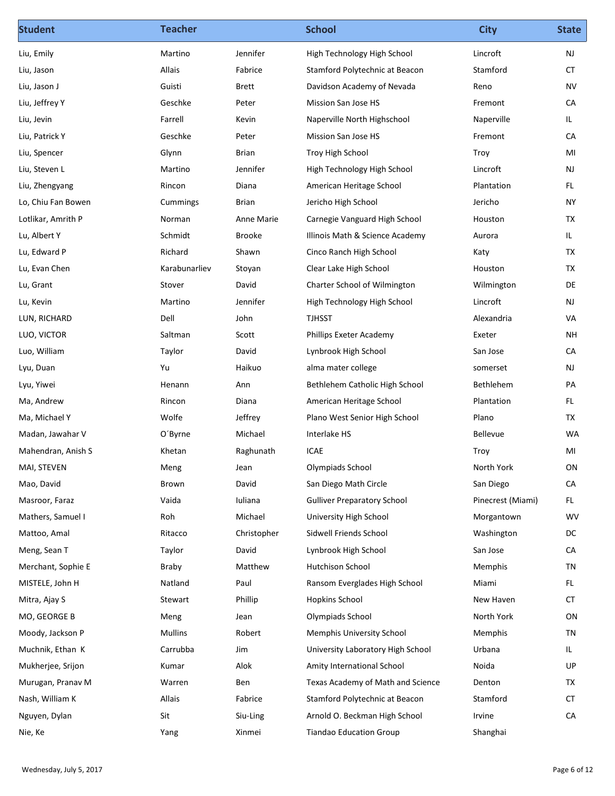| <b>Student</b>          | <b>Teacher</b> |              | <b>School</b>                      | <b>City</b>       | <b>State</b> |
|-------------------------|----------------|--------------|------------------------------------|-------------------|--------------|
| Liu, Emily              | Martino        | Jennifer     | High Technology High School        | Lincroft          | NJ           |
| Liu, Jason              | Allais         | Fabrice      | Stamford Polytechnic at Beacon     | Stamford          | CT           |
| Liu, Jason J            | Guisti         | <b>Brett</b> | Davidson Academy of Nevada         | Reno              | <b>NV</b>    |
| Liu, Jeffrey Y          | Geschke        | Peter        | Mission San Jose HS                | Fremont           | CA           |
| Liu, Jevin              | Farrell        | Kevin        | Naperville North Highschool        | Naperville        | IL.          |
| Liu, Patrick Y          | Geschke        | Peter        | Mission San Jose HS                | Fremont           | CA           |
| Liu, Spencer            | Glynn          | Brian        | Troy High School                   | Troy              | MI           |
| Liu, Steven L           | Martino        | Jennifer     | High Technology High School        | Lincroft          | <b>NJ</b>    |
| Liu, Zhengyang          | Rincon         | Diana        | American Heritage School           | Plantation        | FL.          |
| Lo, Chiu Fan Bowen      | Cummings       | Brian        | Jericho High School                | Jericho           | <b>NY</b>    |
| Lotlikar, Amrith P      | Norman         | Anne Marie   | Carnegie Vanguard High School      | Houston           | TX           |
| Lu, Albert Y            | Schmidt        | Brooke       | Illinois Math & Science Academy    | Aurora            | IL.          |
| Lu, Edward P            | Richard        | Shawn        | Cinco Ranch High School            | Katy              | TX           |
| Lu, Evan Chen           | Karabunarliev  | Stoyan       | Clear Lake High School             | Houston           | <b>TX</b>    |
| Lu, Grant               | Stover         | David        | Charter School of Wilmington       | Wilmington        | DE           |
| Lu, Kevin               | Martino        | Jennifer     | High Technology High School        | Lincroft          | NJ           |
| LUN, RICHARD            | Dell           | John         | TJHSST                             | Alexandria        | VA           |
| LUO, VICTOR             | Saltman        | Scott        | Phillips Exeter Academy            | Exeter            | NH           |
| Luo, William            | Taylor         | David        | Lynbrook High School               | San Jose          | CA           |
| Lyu, Duan               | Yu             | Haikuo       | alma mater college                 | somerset          | NJ           |
| Lyu, Yiwei              | Henann         | Ann          | Bethlehem Catholic High School     | Bethlehem         | PA           |
| Ma, Andrew              | Rincon         | Diana        | American Heritage School           | Plantation        | FL.          |
| Ma, Michael Y           | Wolfe          | Jeffrey      | Plano West Senior High School      | Plano             | <b>TX</b>    |
| Madan, Jawahar V        | O'Byrne        | Michael      | Interlake HS                       | Bellevue          | WA           |
| Mahendran, Anish S      | Khetan         | Raghunath    | <b>ICAE</b>                        | Troy              | MI           |
| MAI, STEVEN             | Meng           | Jean         | Olympiads School                   | North York        | ON           |
| Mao, David              | Brown          | David        | San Diego Math Circle              | San Diego         | CA           |
| Masroor, Faraz          | Vaida          | Iuliana      | <b>Gulliver Preparatory School</b> | Pinecrest (Miami) | FL.          |
| Mathers, Samuel I       | Roh            | Michael      | University High School             | Morgantown        | WV           |
| Mattoo, Amal            | Ritacco        | Christopher  | Sidwell Friends School             | Washington        | DC           |
| Meng, Sean T            | Taylor         | David        | Lynbrook High School               | San Jose          | CA           |
| Merchant, Sophie E      | Braby          | Matthew      | Hutchison School                   | Memphis           | <b>TN</b>    |
| MISTELE, John H         | Natland        | Paul         | Ransom Everglades High School      | Miami             | FL.          |
| Mitra, Ajay S           | Stewart        | Phillip      | <b>Hopkins School</b>              | New Haven         | <b>CT</b>    |
| MO, GEORGE B            | Meng           | Jean         | Olympiads School                   | North York        | ON           |
| Moody, Jackson P        | Mullins        | Robert       | <b>Memphis University School</b>   | Memphis           | TN           |
| Muchnik, Ethan K        | Carrubba       | Jim          | University Laboratory High School  | Urbana            | IL.          |
| Mukherjee, Srijon       | Kumar          | Alok         | Amity International School         | Noida             | UP           |
| Murugan, Pranav M       | Warren         | Ben          | Texas Academy of Math and Science  | Denton            | ТX           |
| Nash, William K         | Allais         | Fabrice      | Stamford Polytechnic at Beacon     | Stamford          | ${\sf CT}$   |
| Nguyen, Dylan           | Sit            | Siu-Ling     | Arnold O. Beckman High School      | Irvine            | ${\sf CA}$   |
| Nie, Ke                 | Yang           | Xinmei       | <b>Tiandao Education Group</b>     | Shanghai          |              |
|                         |                |              |                                    |                   |              |
| Wednesday, July 5, 2017 |                |              |                                    |                   | Page 6 of 12 |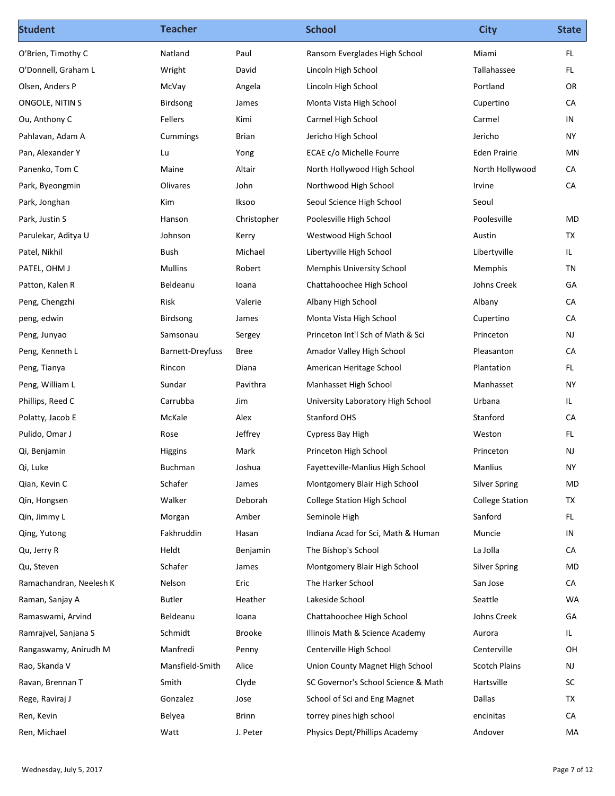| FL.<br>O'Brien, Timothy C<br>Natland<br>Paul<br>Ransom Everglades High School<br>Miami<br>Lincoln High School<br>Tallahassee<br>FL.<br>Wright<br>David<br>Portland<br>OR<br>McVay<br>Lincoln High School<br>Angela<br>Birdsong<br>Monta Vista High School<br>Cupertino<br>CA<br>James<br>Fellers<br>Kimi<br>Carmel High School<br>Carmel<br>IN<br>Jericho High School<br>Jericho<br><b>NY</b><br>Cummings<br>Brian<br><b>Eden Prairie</b><br>MN<br>Lu<br>Yong<br>ECAE c/o Michelle Fourre<br>Maine<br>Altair<br>North Hollywood High School<br>North Hollywood<br>CA<br>CA<br>Park, Byeongmin<br>Olivares<br>John<br>Northwood High School<br>Irvine<br>Kim<br>Iksoo<br>Seoul Science High School<br>Seoul<br>Poolesville High School<br>MD<br>Park, Justin S<br>Christopher<br>Poolesville<br>Hanson<br>TX<br>Parulekar, Aditya U<br>Johnson<br>Westwood High School<br>Austin<br>Kerry<br>Libertyville<br>IL.<br>Bush<br>Michael<br>Libertyville High School<br>Mullins<br>TN<br>Robert<br>Memphis University School<br>Memphis<br>GA<br>Beldeanu<br>loana<br>Chattahoochee High School<br>Johns Creek<br>Risk<br>CA<br>Valerie<br>Albany High School<br>Albany<br>CA<br>Birdsong<br>Monta Vista High School<br>Cupertino<br>James<br>NJ<br>Samsonau<br>Princeton Int'l Sch of Math & Sci<br>Princeton<br>Sergey<br>CA<br><b>Barnett-Dreyfuss</b><br>Bree<br>Amador Valley High School<br>Pleasanton<br>FL.<br>Rincon<br>Diana<br>American Heritage School<br>Plantation<br>Pavithra<br>Manhasset High School<br><b>NY</b><br>Sundar<br>Manhasset<br>Carrubba<br>Jim<br>University Laboratory High School<br>Urbana<br>IL.<br>Alex<br>Stanford<br>CA<br>McKale<br>Stanford OHS<br>Jeffrey<br>Weston<br>Cypress Bay High<br>FL.<br>Rose<br>NJ<br>Mark<br>Princeton High School<br>Princeton<br>Higgins<br>Buchman<br>Manlius<br><b>NY</b><br>Joshua<br>Fayetteville-Manlius High School<br>Schafer<br>Silver Spring<br>MD<br>James<br>Montgomery Blair High School<br>TX<br>Walker<br>Deborah<br>College Station High School<br><b>College Station</b><br>Sanford<br>FL.<br>Amber<br>Seminole High<br>Morgan<br>IN<br>Fakhruddin<br>Hasan<br>Indiana Acad for Sci, Math & Human<br>Muncie<br>Heldt<br>La Jolla<br>CA<br>Benjamin<br>The Bishop's School<br>MD<br>Schafer<br>Montgomery Blair High School<br><b>Silver Spring</b><br>James<br>CA<br>Ramachandran, Neelesh K<br>Nelson<br>Eric<br>The Harker School<br>San Jose<br>Lakeside School<br>Seattle<br>WA<br>Raman, Sanjay A<br>Butler<br>Heather<br>GA<br>Ramaswami, Arvind<br>Beldeanu<br>Chattahoochee High School<br>Johns Creek<br>loana<br>Schmidt<br>Illinois Math & Science Academy<br>IL.<br>Brooke<br>Aurora<br>Centerville High School<br>Centerville<br>OH<br>Rangaswamy, Anirudh M<br>Manfredi<br>Penny<br>Mansfield-Smith<br>Alice<br>NJ<br>Union County Magnet High School<br><b>Scotch Plains</b><br>SC Governor's School Science & Math<br>Smith<br>Clyde<br>Hartsville<br>Ravan, Brennan T<br><b>SC</b><br>TX<br>Jose<br>School of Sci and Eng Magnet<br>Dallas<br>Gonzalez<br>CA<br>Belyea<br>Brinn<br>torrey pines high school<br>encinitas<br>Physics Dept/Phillips Academy<br>Watt<br>J. Peter<br>Andover<br>MA | <b>Student</b> | <b>Teacher</b> | <b>School</b> | <b>City</b> | <b>State</b> |
|------------------------------------------------------------------------------------------------------------------------------------------------------------------------------------------------------------------------------------------------------------------------------------------------------------------------------------------------------------------------------------------------------------------------------------------------------------------------------------------------------------------------------------------------------------------------------------------------------------------------------------------------------------------------------------------------------------------------------------------------------------------------------------------------------------------------------------------------------------------------------------------------------------------------------------------------------------------------------------------------------------------------------------------------------------------------------------------------------------------------------------------------------------------------------------------------------------------------------------------------------------------------------------------------------------------------------------------------------------------------------------------------------------------------------------------------------------------------------------------------------------------------------------------------------------------------------------------------------------------------------------------------------------------------------------------------------------------------------------------------------------------------------------------------------------------------------------------------------------------------------------------------------------------------------------------------------------------------------------------------------------------------------------------------------------------------------------------------------------------------------------------------------------------------------------------------------------------------------------------------------------------------------------------------------------------------------------------------------------------------------------------------------------------------------------------------------------------------------------------------------------------------------------------------------------------------------------------------------------------------------------------------------------------------------------------------------------------------------------------------------------------------------------------------------------------------------------------------------------------------------------------------------------------------------------------------------------------------------------------------------------------------------------------------------------------------------------------------------------------------------------------------------------------------------------------------|----------------|----------------|---------------|-------------|--------------|
| O'Donnell, Graham L<br>Olsen, Anders P<br>ONGOLE, NITIN S<br>Ou, Anthony C<br>Pahlavan, Adam A<br>Pan, Alexander Y<br>Panenko, Tom C<br>Park, Jonghan<br>Patel, Nikhil<br>PATEL, OHM J<br>Patton, Kalen R<br>Peng, Chengzhi<br>peng, edwin<br>Peng, Junyao<br>Peng, Kenneth L<br>Peng, Tianya<br>Peng, William L<br>Phillips, Reed C<br>Polatty, Jacob E<br>Pulido, Omar J<br>Qi, Benjamin<br>Qi, Luke<br>Qian, Kevin C<br>Qin, Hongsen<br>Qin, Jimmy L<br>Qing, Yutong<br>Qu, Jerry R<br>Qu, Steven<br>Ramrajvel, Sanjana S<br>Rao, Skanda V<br>Rege, Raviraj J<br>Ren, Kevin<br>Ren, Michael                                                                                                                                                                                                                                                                                                                                                                                                                                                                                                                                                                                                                                                                                                                                                                                                                                                                                                                                                                                                                                                                                                                                                                                                                                                                                                                                                                                                                                                                                                                                                                                                                                                                                                                                                                                                                                                                                                                                                                                                                                                                                                                                                                                                                                                                                                                                                                                                                                                                                                                                                                                                 |                |                |               |             |              |
|                                                                                                                                                                                                                                                                                                                                                                                                                                                                                                                                                                                                                                                                                                                                                                                                                                                                                                                                                                                                                                                                                                                                                                                                                                                                                                                                                                                                                                                                                                                                                                                                                                                                                                                                                                                                                                                                                                                                                                                                                                                                                                                                                                                                                                                                                                                                                                                                                                                                                                                                                                                                                                                                                                                                                                                                                                                                                                                                                                                                                                                                                                                                                                                                |                |                |               |             |              |
|                                                                                                                                                                                                                                                                                                                                                                                                                                                                                                                                                                                                                                                                                                                                                                                                                                                                                                                                                                                                                                                                                                                                                                                                                                                                                                                                                                                                                                                                                                                                                                                                                                                                                                                                                                                                                                                                                                                                                                                                                                                                                                                                                                                                                                                                                                                                                                                                                                                                                                                                                                                                                                                                                                                                                                                                                                                                                                                                                                                                                                                                                                                                                                                                |                |                |               |             |              |
|                                                                                                                                                                                                                                                                                                                                                                                                                                                                                                                                                                                                                                                                                                                                                                                                                                                                                                                                                                                                                                                                                                                                                                                                                                                                                                                                                                                                                                                                                                                                                                                                                                                                                                                                                                                                                                                                                                                                                                                                                                                                                                                                                                                                                                                                                                                                                                                                                                                                                                                                                                                                                                                                                                                                                                                                                                                                                                                                                                                                                                                                                                                                                                                                |                |                |               |             |              |
|                                                                                                                                                                                                                                                                                                                                                                                                                                                                                                                                                                                                                                                                                                                                                                                                                                                                                                                                                                                                                                                                                                                                                                                                                                                                                                                                                                                                                                                                                                                                                                                                                                                                                                                                                                                                                                                                                                                                                                                                                                                                                                                                                                                                                                                                                                                                                                                                                                                                                                                                                                                                                                                                                                                                                                                                                                                                                                                                                                                                                                                                                                                                                                                                |                |                |               |             |              |
|                                                                                                                                                                                                                                                                                                                                                                                                                                                                                                                                                                                                                                                                                                                                                                                                                                                                                                                                                                                                                                                                                                                                                                                                                                                                                                                                                                                                                                                                                                                                                                                                                                                                                                                                                                                                                                                                                                                                                                                                                                                                                                                                                                                                                                                                                                                                                                                                                                                                                                                                                                                                                                                                                                                                                                                                                                                                                                                                                                                                                                                                                                                                                                                                |                |                |               |             |              |
|                                                                                                                                                                                                                                                                                                                                                                                                                                                                                                                                                                                                                                                                                                                                                                                                                                                                                                                                                                                                                                                                                                                                                                                                                                                                                                                                                                                                                                                                                                                                                                                                                                                                                                                                                                                                                                                                                                                                                                                                                                                                                                                                                                                                                                                                                                                                                                                                                                                                                                                                                                                                                                                                                                                                                                                                                                                                                                                                                                                                                                                                                                                                                                                                |                |                |               |             |              |
|                                                                                                                                                                                                                                                                                                                                                                                                                                                                                                                                                                                                                                                                                                                                                                                                                                                                                                                                                                                                                                                                                                                                                                                                                                                                                                                                                                                                                                                                                                                                                                                                                                                                                                                                                                                                                                                                                                                                                                                                                                                                                                                                                                                                                                                                                                                                                                                                                                                                                                                                                                                                                                                                                                                                                                                                                                                                                                                                                                                                                                                                                                                                                                                                |                |                |               |             |              |
|                                                                                                                                                                                                                                                                                                                                                                                                                                                                                                                                                                                                                                                                                                                                                                                                                                                                                                                                                                                                                                                                                                                                                                                                                                                                                                                                                                                                                                                                                                                                                                                                                                                                                                                                                                                                                                                                                                                                                                                                                                                                                                                                                                                                                                                                                                                                                                                                                                                                                                                                                                                                                                                                                                                                                                                                                                                                                                                                                                                                                                                                                                                                                                                                |                |                |               |             |              |
|                                                                                                                                                                                                                                                                                                                                                                                                                                                                                                                                                                                                                                                                                                                                                                                                                                                                                                                                                                                                                                                                                                                                                                                                                                                                                                                                                                                                                                                                                                                                                                                                                                                                                                                                                                                                                                                                                                                                                                                                                                                                                                                                                                                                                                                                                                                                                                                                                                                                                                                                                                                                                                                                                                                                                                                                                                                                                                                                                                                                                                                                                                                                                                                                |                |                |               |             |              |
|                                                                                                                                                                                                                                                                                                                                                                                                                                                                                                                                                                                                                                                                                                                                                                                                                                                                                                                                                                                                                                                                                                                                                                                                                                                                                                                                                                                                                                                                                                                                                                                                                                                                                                                                                                                                                                                                                                                                                                                                                                                                                                                                                                                                                                                                                                                                                                                                                                                                                                                                                                                                                                                                                                                                                                                                                                                                                                                                                                                                                                                                                                                                                                                                |                |                |               |             |              |
|                                                                                                                                                                                                                                                                                                                                                                                                                                                                                                                                                                                                                                                                                                                                                                                                                                                                                                                                                                                                                                                                                                                                                                                                                                                                                                                                                                                                                                                                                                                                                                                                                                                                                                                                                                                                                                                                                                                                                                                                                                                                                                                                                                                                                                                                                                                                                                                                                                                                                                                                                                                                                                                                                                                                                                                                                                                                                                                                                                                                                                                                                                                                                                                                |                |                |               |             |              |
|                                                                                                                                                                                                                                                                                                                                                                                                                                                                                                                                                                                                                                                                                                                                                                                                                                                                                                                                                                                                                                                                                                                                                                                                                                                                                                                                                                                                                                                                                                                                                                                                                                                                                                                                                                                                                                                                                                                                                                                                                                                                                                                                                                                                                                                                                                                                                                                                                                                                                                                                                                                                                                                                                                                                                                                                                                                                                                                                                                                                                                                                                                                                                                                                |                |                |               |             |              |
|                                                                                                                                                                                                                                                                                                                                                                                                                                                                                                                                                                                                                                                                                                                                                                                                                                                                                                                                                                                                                                                                                                                                                                                                                                                                                                                                                                                                                                                                                                                                                                                                                                                                                                                                                                                                                                                                                                                                                                                                                                                                                                                                                                                                                                                                                                                                                                                                                                                                                                                                                                                                                                                                                                                                                                                                                                                                                                                                                                                                                                                                                                                                                                                                |                |                |               |             |              |
|                                                                                                                                                                                                                                                                                                                                                                                                                                                                                                                                                                                                                                                                                                                                                                                                                                                                                                                                                                                                                                                                                                                                                                                                                                                                                                                                                                                                                                                                                                                                                                                                                                                                                                                                                                                                                                                                                                                                                                                                                                                                                                                                                                                                                                                                                                                                                                                                                                                                                                                                                                                                                                                                                                                                                                                                                                                                                                                                                                                                                                                                                                                                                                                                |                |                |               |             |              |
|                                                                                                                                                                                                                                                                                                                                                                                                                                                                                                                                                                                                                                                                                                                                                                                                                                                                                                                                                                                                                                                                                                                                                                                                                                                                                                                                                                                                                                                                                                                                                                                                                                                                                                                                                                                                                                                                                                                                                                                                                                                                                                                                                                                                                                                                                                                                                                                                                                                                                                                                                                                                                                                                                                                                                                                                                                                                                                                                                                                                                                                                                                                                                                                                |                |                |               |             |              |
|                                                                                                                                                                                                                                                                                                                                                                                                                                                                                                                                                                                                                                                                                                                                                                                                                                                                                                                                                                                                                                                                                                                                                                                                                                                                                                                                                                                                                                                                                                                                                                                                                                                                                                                                                                                                                                                                                                                                                                                                                                                                                                                                                                                                                                                                                                                                                                                                                                                                                                                                                                                                                                                                                                                                                                                                                                                                                                                                                                                                                                                                                                                                                                                                |                |                |               |             |              |
|                                                                                                                                                                                                                                                                                                                                                                                                                                                                                                                                                                                                                                                                                                                                                                                                                                                                                                                                                                                                                                                                                                                                                                                                                                                                                                                                                                                                                                                                                                                                                                                                                                                                                                                                                                                                                                                                                                                                                                                                                                                                                                                                                                                                                                                                                                                                                                                                                                                                                                                                                                                                                                                                                                                                                                                                                                                                                                                                                                                                                                                                                                                                                                                                |                |                |               |             |              |
|                                                                                                                                                                                                                                                                                                                                                                                                                                                                                                                                                                                                                                                                                                                                                                                                                                                                                                                                                                                                                                                                                                                                                                                                                                                                                                                                                                                                                                                                                                                                                                                                                                                                                                                                                                                                                                                                                                                                                                                                                                                                                                                                                                                                                                                                                                                                                                                                                                                                                                                                                                                                                                                                                                                                                                                                                                                                                                                                                                                                                                                                                                                                                                                                |                |                |               |             |              |
|                                                                                                                                                                                                                                                                                                                                                                                                                                                                                                                                                                                                                                                                                                                                                                                                                                                                                                                                                                                                                                                                                                                                                                                                                                                                                                                                                                                                                                                                                                                                                                                                                                                                                                                                                                                                                                                                                                                                                                                                                                                                                                                                                                                                                                                                                                                                                                                                                                                                                                                                                                                                                                                                                                                                                                                                                                                                                                                                                                                                                                                                                                                                                                                                |                |                |               |             |              |
|                                                                                                                                                                                                                                                                                                                                                                                                                                                                                                                                                                                                                                                                                                                                                                                                                                                                                                                                                                                                                                                                                                                                                                                                                                                                                                                                                                                                                                                                                                                                                                                                                                                                                                                                                                                                                                                                                                                                                                                                                                                                                                                                                                                                                                                                                                                                                                                                                                                                                                                                                                                                                                                                                                                                                                                                                                                                                                                                                                                                                                                                                                                                                                                                |                |                |               |             |              |
|                                                                                                                                                                                                                                                                                                                                                                                                                                                                                                                                                                                                                                                                                                                                                                                                                                                                                                                                                                                                                                                                                                                                                                                                                                                                                                                                                                                                                                                                                                                                                                                                                                                                                                                                                                                                                                                                                                                                                                                                                                                                                                                                                                                                                                                                                                                                                                                                                                                                                                                                                                                                                                                                                                                                                                                                                                                                                                                                                                                                                                                                                                                                                                                                |                |                |               |             |              |
|                                                                                                                                                                                                                                                                                                                                                                                                                                                                                                                                                                                                                                                                                                                                                                                                                                                                                                                                                                                                                                                                                                                                                                                                                                                                                                                                                                                                                                                                                                                                                                                                                                                                                                                                                                                                                                                                                                                                                                                                                                                                                                                                                                                                                                                                                                                                                                                                                                                                                                                                                                                                                                                                                                                                                                                                                                                                                                                                                                                                                                                                                                                                                                                                |                |                |               |             |              |
|                                                                                                                                                                                                                                                                                                                                                                                                                                                                                                                                                                                                                                                                                                                                                                                                                                                                                                                                                                                                                                                                                                                                                                                                                                                                                                                                                                                                                                                                                                                                                                                                                                                                                                                                                                                                                                                                                                                                                                                                                                                                                                                                                                                                                                                                                                                                                                                                                                                                                                                                                                                                                                                                                                                                                                                                                                                                                                                                                                                                                                                                                                                                                                                                |                |                |               |             |              |
|                                                                                                                                                                                                                                                                                                                                                                                                                                                                                                                                                                                                                                                                                                                                                                                                                                                                                                                                                                                                                                                                                                                                                                                                                                                                                                                                                                                                                                                                                                                                                                                                                                                                                                                                                                                                                                                                                                                                                                                                                                                                                                                                                                                                                                                                                                                                                                                                                                                                                                                                                                                                                                                                                                                                                                                                                                                                                                                                                                                                                                                                                                                                                                                                |                |                |               |             |              |
|                                                                                                                                                                                                                                                                                                                                                                                                                                                                                                                                                                                                                                                                                                                                                                                                                                                                                                                                                                                                                                                                                                                                                                                                                                                                                                                                                                                                                                                                                                                                                                                                                                                                                                                                                                                                                                                                                                                                                                                                                                                                                                                                                                                                                                                                                                                                                                                                                                                                                                                                                                                                                                                                                                                                                                                                                                                                                                                                                                                                                                                                                                                                                                                                |                |                |               |             |              |
|                                                                                                                                                                                                                                                                                                                                                                                                                                                                                                                                                                                                                                                                                                                                                                                                                                                                                                                                                                                                                                                                                                                                                                                                                                                                                                                                                                                                                                                                                                                                                                                                                                                                                                                                                                                                                                                                                                                                                                                                                                                                                                                                                                                                                                                                                                                                                                                                                                                                                                                                                                                                                                                                                                                                                                                                                                                                                                                                                                                                                                                                                                                                                                                                |                |                |               |             |              |
|                                                                                                                                                                                                                                                                                                                                                                                                                                                                                                                                                                                                                                                                                                                                                                                                                                                                                                                                                                                                                                                                                                                                                                                                                                                                                                                                                                                                                                                                                                                                                                                                                                                                                                                                                                                                                                                                                                                                                                                                                                                                                                                                                                                                                                                                                                                                                                                                                                                                                                                                                                                                                                                                                                                                                                                                                                                                                                                                                                                                                                                                                                                                                                                                |                |                |               |             |              |
|                                                                                                                                                                                                                                                                                                                                                                                                                                                                                                                                                                                                                                                                                                                                                                                                                                                                                                                                                                                                                                                                                                                                                                                                                                                                                                                                                                                                                                                                                                                                                                                                                                                                                                                                                                                                                                                                                                                                                                                                                                                                                                                                                                                                                                                                                                                                                                                                                                                                                                                                                                                                                                                                                                                                                                                                                                                                                                                                                                                                                                                                                                                                                                                                |                |                |               |             |              |
|                                                                                                                                                                                                                                                                                                                                                                                                                                                                                                                                                                                                                                                                                                                                                                                                                                                                                                                                                                                                                                                                                                                                                                                                                                                                                                                                                                                                                                                                                                                                                                                                                                                                                                                                                                                                                                                                                                                                                                                                                                                                                                                                                                                                                                                                                                                                                                                                                                                                                                                                                                                                                                                                                                                                                                                                                                                                                                                                                                                                                                                                                                                                                                                                |                |                |               |             |              |
|                                                                                                                                                                                                                                                                                                                                                                                                                                                                                                                                                                                                                                                                                                                                                                                                                                                                                                                                                                                                                                                                                                                                                                                                                                                                                                                                                                                                                                                                                                                                                                                                                                                                                                                                                                                                                                                                                                                                                                                                                                                                                                                                                                                                                                                                                                                                                                                                                                                                                                                                                                                                                                                                                                                                                                                                                                                                                                                                                                                                                                                                                                                                                                                                |                |                |               |             |              |
|                                                                                                                                                                                                                                                                                                                                                                                                                                                                                                                                                                                                                                                                                                                                                                                                                                                                                                                                                                                                                                                                                                                                                                                                                                                                                                                                                                                                                                                                                                                                                                                                                                                                                                                                                                                                                                                                                                                                                                                                                                                                                                                                                                                                                                                                                                                                                                                                                                                                                                                                                                                                                                                                                                                                                                                                                                                                                                                                                                                                                                                                                                                                                                                                |                |                |               |             |              |
|                                                                                                                                                                                                                                                                                                                                                                                                                                                                                                                                                                                                                                                                                                                                                                                                                                                                                                                                                                                                                                                                                                                                                                                                                                                                                                                                                                                                                                                                                                                                                                                                                                                                                                                                                                                                                                                                                                                                                                                                                                                                                                                                                                                                                                                                                                                                                                                                                                                                                                                                                                                                                                                                                                                                                                                                                                                                                                                                                                                                                                                                                                                                                                                                |                |                |               |             |              |
|                                                                                                                                                                                                                                                                                                                                                                                                                                                                                                                                                                                                                                                                                                                                                                                                                                                                                                                                                                                                                                                                                                                                                                                                                                                                                                                                                                                                                                                                                                                                                                                                                                                                                                                                                                                                                                                                                                                                                                                                                                                                                                                                                                                                                                                                                                                                                                                                                                                                                                                                                                                                                                                                                                                                                                                                                                                                                                                                                                                                                                                                                                                                                                                                |                |                |               |             |              |
|                                                                                                                                                                                                                                                                                                                                                                                                                                                                                                                                                                                                                                                                                                                                                                                                                                                                                                                                                                                                                                                                                                                                                                                                                                                                                                                                                                                                                                                                                                                                                                                                                                                                                                                                                                                                                                                                                                                                                                                                                                                                                                                                                                                                                                                                                                                                                                                                                                                                                                                                                                                                                                                                                                                                                                                                                                                                                                                                                                                                                                                                                                                                                                                                |                |                |               |             |              |
|                                                                                                                                                                                                                                                                                                                                                                                                                                                                                                                                                                                                                                                                                                                                                                                                                                                                                                                                                                                                                                                                                                                                                                                                                                                                                                                                                                                                                                                                                                                                                                                                                                                                                                                                                                                                                                                                                                                                                                                                                                                                                                                                                                                                                                                                                                                                                                                                                                                                                                                                                                                                                                                                                                                                                                                                                                                                                                                                                                                                                                                                                                                                                                                                |                |                |               |             |              |
|                                                                                                                                                                                                                                                                                                                                                                                                                                                                                                                                                                                                                                                                                                                                                                                                                                                                                                                                                                                                                                                                                                                                                                                                                                                                                                                                                                                                                                                                                                                                                                                                                                                                                                                                                                                                                                                                                                                                                                                                                                                                                                                                                                                                                                                                                                                                                                                                                                                                                                                                                                                                                                                                                                                                                                                                                                                                                                                                                                                                                                                                                                                                                                                                |                |                |               |             |              |
|                                                                                                                                                                                                                                                                                                                                                                                                                                                                                                                                                                                                                                                                                                                                                                                                                                                                                                                                                                                                                                                                                                                                                                                                                                                                                                                                                                                                                                                                                                                                                                                                                                                                                                                                                                                                                                                                                                                                                                                                                                                                                                                                                                                                                                                                                                                                                                                                                                                                                                                                                                                                                                                                                                                                                                                                                                                                                                                                                                                                                                                                                                                                                                                                |                |                |               |             |              |
|                                                                                                                                                                                                                                                                                                                                                                                                                                                                                                                                                                                                                                                                                                                                                                                                                                                                                                                                                                                                                                                                                                                                                                                                                                                                                                                                                                                                                                                                                                                                                                                                                                                                                                                                                                                                                                                                                                                                                                                                                                                                                                                                                                                                                                                                                                                                                                                                                                                                                                                                                                                                                                                                                                                                                                                                                                                                                                                                                                                                                                                                                                                                                                                                |                |                |               |             |              |
|                                                                                                                                                                                                                                                                                                                                                                                                                                                                                                                                                                                                                                                                                                                                                                                                                                                                                                                                                                                                                                                                                                                                                                                                                                                                                                                                                                                                                                                                                                                                                                                                                                                                                                                                                                                                                                                                                                                                                                                                                                                                                                                                                                                                                                                                                                                                                                                                                                                                                                                                                                                                                                                                                                                                                                                                                                                                                                                                                                                                                                                                                                                                                                                                |                |                |               |             |              |
|                                                                                                                                                                                                                                                                                                                                                                                                                                                                                                                                                                                                                                                                                                                                                                                                                                                                                                                                                                                                                                                                                                                                                                                                                                                                                                                                                                                                                                                                                                                                                                                                                                                                                                                                                                                                                                                                                                                                                                                                                                                                                                                                                                                                                                                                                                                                                                                                                                                                                                                                                                                                                                                                                                                                                                                                                                                                                                                                                                                                                                                                                                                                                                                                |                |                |               |             |              |
|                                                                                                                                                                                                                                                                                                                                                                                                                                                                                                                                                                                                                                                                                                                                                                                                                                                                                                                                                                                                                                                                                                                                                                                                                                                                                                                                                                                                                                                                                                                                                                                                                                                                                                                                                                                                                                                                                                                                                                                                                                                                                                                                                                                                                                                                                                                                                                                                                                                                                                                                                                                                                                                                                                                                                                                                                                                                                                                                                                                                                                                                                                                                                                                                |                |                |               |             |              |
| Page 7 of 12<br>Wednesday, July 5, 2017                                                                                                                                                                                                                                                                                                                                                                                                                                                                                                                                                                                                                                                                                                                                                                                                                                                                                                                                                                                                                                                                                                                                                                                                                                                                                                                                                                                                                                                                                                                                                                                                                                                                                                                                                                                                                                                                                                                                                                                                                                                                                                                                                                                                                                                                                                                                                                                                                                                                                                                                                                                                                                                                                                                                                                                                                                                                                                                                                                                                                                                                                                                                                        |                |                |               |             |              |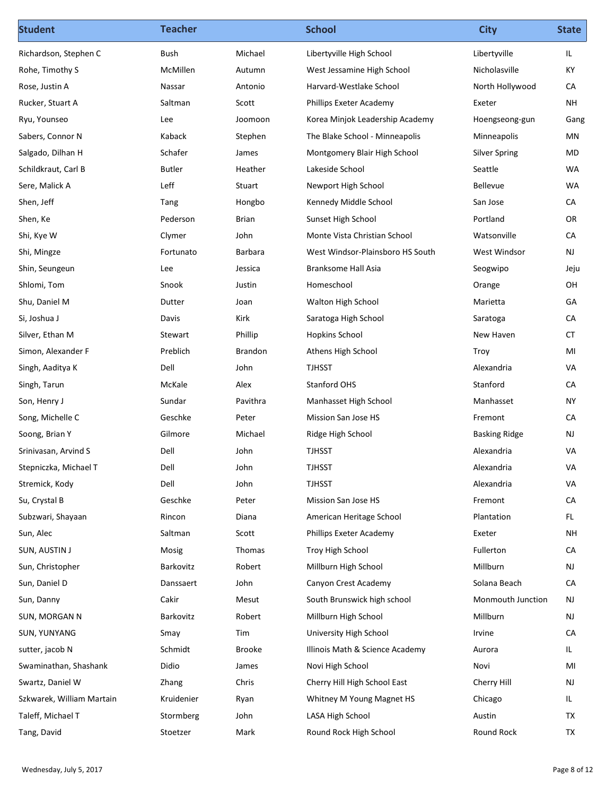| <b>Student</b>            | <b>Teacher</b>     |               | <b>School</b>                                      | <b>City</b>             | <b>State</b>     |
|---------------------------|--------------------|---------------|----------------------------------------------------|-------------------------|------------------|
| Richardson, Stephen C     | Bush               | Michael       | Libertyville High School                           | Libertyville            | IL.              |
| Rohe, Timothy S           | McMillen           | Autumn        | West Jessamine High School                         | Nicholasville           | KY               |
| Rose, Justin A            | Nassar             | Antonio       | Harvard-Westlake School                            | North Hollywood         | CA               |
| Rucker, Stuart A          | Saltman            | Scott         | Phillips Exeter Academy                            | Exeter                  | <b>NH</b>        |
| Ryu, Younseo              | Lee                | Joomoon       | Korea Minjok Leadership Academy                    | Hoengseong-gun          | Gang             |
| Sabers, Connor N          | Kaback             | Stephen       | The Blake School - Minneapolis                     | Minneapolis             | MN               |
| Salgado, Dilhan H         | Schafer            | James         | Montgomery Blair High School                       | <b>Silver Spring</b>    | MD               |
| Schildkraut, Carl B       | <b>Butler</b>      | Heather       | Lakeside School                                    | Seattle                 | WA               |
| Sere, Malick A            | Leff               | Stuart        | Newport High School                                | Bellevue                | WA               |
| Shen, Jeff                | Tang               | Hongbo        | Kennedy Middle School                              | San Jose                | CA               |
| Shen, Ke                  | Pederson<br>Clymer | Brian<br>John | Sunset High School<br>Monte Vista Christian School | Portland<br>Watsonville | OR<br>${\sf CA}$ |
| Shi, Kye W<br>Shi, Mingze | Fortunato          | Barbara       | West Windsor-Plainsboro HS South                   | West Windsor            | <b>NJ</b>        |
| Shin, Seungeun            | Lee                | Jessica       | Branksome Hall Asia                                | Seogwipo                | Jeju             |
| Shlomi, Tom               | Snook              | Justin        | Homeschool                                         | Orange                  | OH               |
| Shu, Daniel M             | Dutter             | Joan          | Walton High School                                 | Marietta                | GA               |
| Si, Joshua J              | Davis              | Kirk          | Saratoga High School                               | Saratoga                | CA               |
| Silver, Ethan M           | Stewart            | Phillip       | <b>Hopkins School</b>                              | New Haven               | <b>CT</b>        |
| Simon, Alexander F        | Preblich           | Brandon       | Athens High School                                 | Troy                    | MI               |
| Singh, Aaditya K          | Dell               | John          | <b>TJHSST</b>                                      | Alexandria              | VA               |
| Singh, Tarun              | McKale             | Alex          | Stanford OHS                                       | Stanford                | CA               |
| Son, Henry J              | Sundar             | Pavithra      | Manhasset High School                              | Manhasset               | <b>NY</b>        |
| Song, Michelle C          | Geschke            | Peter         | Mission San Jose HS                                | Fremont                 | CA               |
| Soong, Brian Y            | Gilmore            | Michael       | Ridge High School                                  | <b>Basking Ridge</b>    | NJ               |
| Srinivasan, Arvind S      | Dell               | John          | <b>TJHSST</b>                                      | Alexandria              | VA               |
| Stepniczka, Michael T     | Dell               | John          | <b>TJHSST</b>                                      | Alexandria              | VA               |
| Stremick, Kody            | Dell               | John          | <b>TJHSST</b>                                      | Alexandria              | VA               |
| Su, Crystal B             | Geschke            | Peter         | Mission San Jose HS                                | Fremont                 | CA               |
| Subzwari, Shayaan         | Rincon             | Diana         | American Heritage School                           | Plantation              | FL.              |
| Sun, Alec                 | Saltman            | Scott         | Phillips Exeter Academy                            | Exeter                  | <b>NH</b>        |
| SUN, AUSTIN J             | Mosig              | Thomas        | Troy High School                                   | Fullerton               | CA               |
| Sun, Christopher          | Barkovitz          | Robert        | Millburn High School                               | Millburn                | NJ               |
| Sun, Daniel D             | Danssaert          | John          | Canyon Crest Academy                               | Solana Beach            | CA               |
| Sun, Danny                | Cakir              | Mesut         | South Brunswick high school                        | Monmouth Junction       | NJ               |
| SUN, MORGAN N             | Barkovitz          | Robert        | Millburn High School                               | Millburn                | NJ               |
| SUN, YUNYANG              | Smay               | Tim           | University High School                             | Irvine                  | CA               |
| sutter, jacob N           | Schmidt            | Brooke        | Illinois Math & Science Academy                    | Aurora                  | IL.              |
| Swaminathan, Shashank     | Didio              | James         | Novi High School                                   | Novi                    | MI               |
| Swartz, Daniel W          | Zhang              | Chris         | Cherry Hill High School East                       | Cherry Hill             | NJ               |
| Szkwarek, William Martain | Kruidenier         | Ryan          | Whitney M Young Magnet HS                          | Chicago                 | IL.              |
| Taleff, Michael T         | Stormberg          | John          | LASA High School                                   | Austin                  | <b>TX</b>        |
|                           | Stoetzer           | Mark          | Round Rock High School                             | Round Rock              | <b>TX</b>        |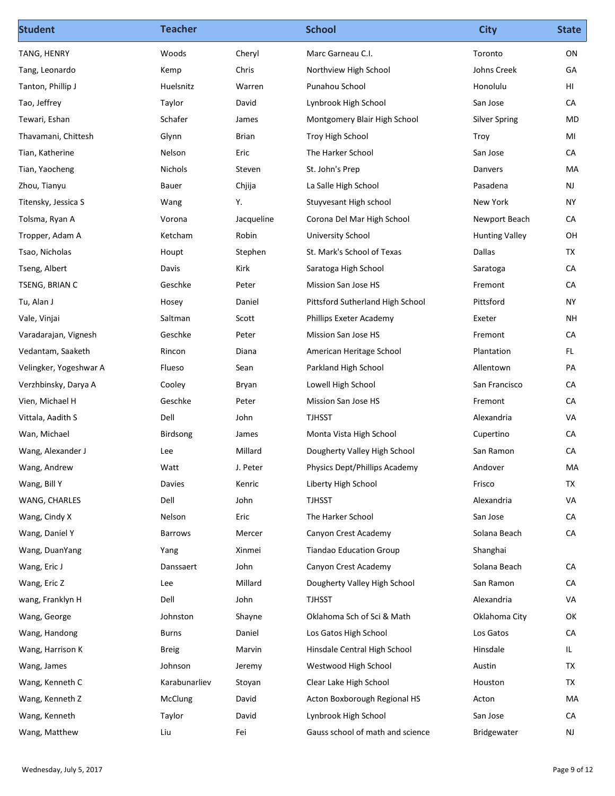| TANG, HENRY<br>Cheryl<br>Marc Garneau C.I.<br>ON<br>Woods<br>Toronto<br>Chris<br>Johns Creek<br>GA<br>Northview High School<br>Kemp<br>HI<br>Huelsnitz<br>Warren<br>Punahou School<br>Honolulu<br>San Jose<br>CA<br>Taylor<br>David<br>Lynbrook High School<br>Schafer<br>Montgomery Blair High School<br><b>Silver Spring</b><br>MD<br>James<br>Glynn<br>Brian<br>Troy High School<br>Troy<br>MI<br>Nelson<br>Eric<br>CA<br>The Harker School<br>San Jose<br>Nichols<br>Steven<br>St. John's Prep<br>Danvers<br>MA<br>NJ<br>Chjija<br>La Salle High School<br>Pasadena<br><b>Bauer</b><br>Y.<br>New York<br><b>NY</b><br>Stuyvesant High school<br>Wang<br>CA<br>Jacqueline<br>Corona Del Mar High School<br>Newport Beach<br>Vorona<br>Ketcham<br>Robin<br>University School<br><b>Hunting Valley</b><br>OH<br>Stephen<br>St. Mark's School of Texas<br>Dallas<br>TX<br>Houpt<br>Kirk<br>Saratoga High School<br>CA<br>Davis<br>Saratoga<br>CA<br>Geschke<br>Peter<br>Mission San Jose HS<br>Fremont<br>Pittsford<br><b>NY</b><br>Hosey<br>Daniel<br>Pittsford Sutherland High School<br><b>NH</b><br>Saltman<br>Scott<br>Phillips Exeter Academy<br>Exeter<br>Geschke<br>CA<br>Peter<br>Mission San Jose HS<br>Fremont<br>FL.<br>Rincon<br>Diana<br>American Heritage School<br>Plantation<br>PA<br>Flueso<br>Sean<br>Parkland High School<br>Allentown<br>Lowell High School<br>San Francisco<br>CA<br>Cooley<br>Bryan<br>Geschke<br>CA<br>Peter<br>Mission San Jose HS<br>Fremont<br>VA<br>Dell<br>John<br><b>TJHSST</b><br>Alexandria<br>CA<br>Birdsong<br>James<br>Monta Vista High School<br>Cupertino<br>${\sf CA}$<br>Millard<br>Wang, Alexander J<br>Lee<br>Dougherty Valley High School<br>San Ramon<br>Physics Dept/Phillips Academy<br>Andover<br>MA<br>Wang, Andrew<br>Watt<br>J. Peter<br>Frisco<br>TX<br>Wang, Bill Y<br>Davies<br>Kenric<br>Liberty High School<br>Dell<br>VA<br>John<br><b>TJHSST</b><br>Alexandria<br>${\sf CA}$<br>Eric<br>The Harker School<br>San Jose<br>Nelson<br>CA<br>Canyon Crest Academy<br>Solana Beach<br>Barrows<br>Mercer<br>Wang, DuanYang<br>Yang<br>Xinmei<br><b>Tiandao Education Group</b><br>Shanghai<br>CA<br>John<br>Canyon Crest Academy<br>Solana Beach<br>Danssaert<br>${\sf CA}$<br>Millard<br>Lee<br>Dougherty Valley High School<br>San Ramon<br>Dell<br>VA<br>John<br>TJHSST<br>Alexandria<br>Oklahoma Sch of Sci & Math<br>OK<br>Johnston<br>Shayne<br>Oklahoma City<br>Los Gatos<br>CA<br>Daniel<br>Los Gatos High School<br>Burns<br>Hinsdale<br>Hinsdale Central High School<br>IL<br><b>Breig</b><br>Marvin<br><b>TX</b><br>Westwood High School<br>Wang, James<br>Johnson<br>Austin<br>Jeremy<br>Wang, Kenneth C<br>Clear Lake High School<br>Karabunarliev<br>Stoyan<br>Houston<br>ТX<br>Acton Boxborough Regional HS<br>MA<br>McClung<br>David<br>Acton<br>${\sf CA}$<br>Wang, Kenneth<br>David<br>Lynbrook High School<br>San Jose<br>Taylor<br>Liu<br>Fei<br>Gauss school of math and science<br>Wang, Matthew<br>Bridgewater<br><b>NJ</b> | <b>Student</b> | <b>Teacher</b> | <b>School</b> | <b>City</b> | <b>State</b> |
|----------------------------------------------------------------------------------------------------------------------------------------------------------------------------------------------------------------------------------------------------------------------------------------------------------------------------------------------------------------------------------------------------------------------------------------------------------------------------------------------------------------------------------------------------------------------------------------------------------------------------------------------------------------------------------------------------------------------------------------------------------------------------------------------------------------------------------------------------------------------------------------------------------------------------------------------------------------------------------------------------------------------------------------------------------------------------------------------------------------------------------------------------------------------------------------------------------------------------------------------------------------------------------------------------------------------------------------------------------------------------------------------------------------------------------------------------------------------------------------------------------------------------------------------------------------------------------------------------------------------------------------------------------------------------------------------------------------------------------------------------------------------------------------------------------------------------------------------------------------------------------------------------------------------------------------------------------------------------------------------------------------------------------------------------------------------------------------------------------------------------------------------------------------------------------------------------------------------------------------------------------------------------------------------------------------------------------------------------------------------------------------------------------------------------------------------------------------------------------------------------------------------------------------------------------------------------------------------------------------------------------------------------------------------------------------------------------------------------------------------------------------------------------------------------------------------------------------------------------------------------------------------------------------------------------------------------------------------------------------------------------------------|----------------|----------------|---------------|-------------|--------------|
| Tang, Leonardo<br>Tanton, Phillip J<br>Tao, Jeffrey<br>Tewari, Eshan<br>Thavamani, Chittesh<br>Tian, Katherine<br>Tian, Yaocheng<br>Zhou, Tianyu<br>Titensky, Jessica S<br>Tolsma, Ryan A<br>Tropper, Adam A<br>Tsao, Nicholas<br>Tseng, Albert<br>TSENG, BRIAN C<br>Tu, Alan J<br>Vale, Vinjai<br>Varadarajan, Vignesh<br>Vedantam, Saaketh<br>Velingker, Yogeshwar A<br>Verzhbinsky, Darya A<br>Vien, Michael H<br>Vittala, Aadith S<br>Wan, Michael<br>WANG, CHARLES<br>Wang, Cindy X<br>Wang, Daniel Y<br>Wang, Eric J<br>Wang, Eric Z<br>wang, Franklyn H<br>Wang, George<br>Wang, Handong<br>Wang, Harrison K<br>Wang, Kenneth Z                                                                                                                                                                                                                                                                                                                                                                                                                                                                                                                                                                                                                                                                                                                                                                                                                                                                                                                                                                                                                                                                                                                                                                                                                                                                                                                                                                                                                                                                                                                                                                                                                                                                                                                                                                                                                                                                                                                                                                                                                                                                                                                                                                                                                                                                                                                                                                               |                |                |               |             |              |
|                                                                                                                                                                                                                                                                                                                                                                                                                                                                                                                                                                                                                                                                                                                                                                                                                                                                                                                                                                                                                                                                                                                                                                                                                                                                                                                                                                                                                                                                                                                                                                                                                                                                                                                                                                                                                                                                                                                                                                                                                                                                                                                                                                                                                                                                                                                                                                                                                                                                                                                                                                                                                                                                                                                                                                                                                                                                                                                                                                                                                      |                |                |               |             |              |
|                                                                                                                                                                                                                                                                                                                                                                                                                                                                                                                                                                                                                                                                                                                                                                                                                                                                                                                                                                                                                                                                                                                                                                                                                                                                                                                                                                                                                                                                                                                                                                                                                                                                                                                                                                                                                                                                                                                                                                                                                                                                                                                                                                                                                                                                                                                                                                                                                                                                                                                                                                                                                                                                                                                                                                                                                                                                                                                                                                                                                      |                |                |               |             |              |
|                                                                                                                                                                                                                                                                                                                                                                                                                                                                                                                                                                                                                                                                                                                                                                                                                                                                                                                                                                                                                                                                                                                                                                                                                                                                                                                                                                                                                                                                                                                                                                                                                                                                                                                                                                                                                                                                                                                                                                                                                                                                                                                                                                                                                                                                                                                                                                                                                                                                                                                                                                                                                                                                                                                                                                                                                                                                                                                                                                                                                      |                |                |               |             |              |
|                                                                                                                                                                                                                                                                                                                                                                                                                                                                                                                                                                                                                                                                                                                                                                                                                                                                                                                                                                                                                                                                                                                                                                                                                                                                                                                                                                                                                                                                                                                                                                                                                                                                                                                                                                                                                                                                                                                                                                                                                                                                                                                                                                                                                                                                                                                                                                                                                                                                                                                                                                                                                                                                                                                                                                                                                                                                                                                                                                                                                      |                |                |               |             |              |
|                                                                                                                                                                                                                                                                                                                                                                                                                                                                                                                                                                                                                                                                                                                                                                                                                                                                                                                                                                                                                                                                                                                                                                                                                                                                                                                                                                                                                                                                                                                                                                                                                                                                                                                                                                                                                                                                                                                                                                                                                                                                                                                                                                                                                                                                                                                                                                                                                                                                                                                                                                                                                                                                                                                                                                                                                                                                                                                                                                                                                      |                |                |               |             |              |
|                                                                                                                                                                                                                                                                                                                                                                                                                                                                                                                                                                                                                                                                                                                                                                                                                                                                                                                                                                                                                                                                                                                                                                                                                                                                                                                                                                                                                                                                                                                                                                                                                                                                                                                                                                                                                                                                                                                                                                                                                                                                                                                                                                                                                                                                                                                                                                                                                                                                                                                                                                                                                                                                                                                                                                                                                                                                                                                                                                                                                      |                |                |               |             |              |
|                                                                                                                                                                                                                                                                                                                                                                                                                                                                                                                                                                                                                                                                                                                                                                                                                                                                                                                                                                                                                                                                                                                                                                                                                                                                                                                                                                                                                                                                                                                                                                                                                                                                                                                                                                                                                                                                                                                                                                                                                                                                                                                                                                                                                                                                                                                                                                                                                                                                                                                                                                                                                                                                                                                                                                                                                                                                                                                                                                                                                      |                |                |               |             |              |
|                                                                                                                                                                                                                                                                                                                                                                                                                                                                                                                                                                                                                                                                                                                                                                                                                                                                                                                                                                                                                                                                                                                                                                                                                                                                                                                                                                                                                                                                                                                                                                                                                                                                                                                                                                                                                                                                                                                                                                                                                                                                                                                                                                                                                                                                                                                                                                                                                                                                                                                                                                                                                                                                                                                                                                                                                                                                                                                                                                                                                      |                |                |               |             |              |
|                                                                                                                                                                                                                                                                                                                                                                                                                                                                                                                                                                                                                                                                                                                                                                                                                                                                                                                                                                                                                                                                                                                                                                                                                                                                                                                                                                                                                                                                                                                                                                                                                                                                                                                                                                                                                                                                                                                                                                                                                                                                                                                                                                                                                                                                                                                                                                                                                                                                                                                                                                                                                                                                                                                                                                                                                                                                                                                                                                                                                      |                |                |               |             |              |
|                                                                                                                                                                                                                                                                                                                                                                                                                                                                                                                                                                                                                                                                                                                                                                                                                                                                                                                                                                                                                                                                                                                                                                                                                                                                                                                                                                                                                                                                                                                                                                                                                                                                                                                                                                                                                                                                                                                                                                                                                                                                                                                                                                                                                                                                                                                                                                                                                                                                                                                                                                                                                                                                                                                                                                                                                                                                                                                                                                                                                      |                |                |               |             |              |
|                                                                                                                                                                                                                                                                                                                                                                                                                                                                                                                                                                                                                                                                                                                                                                                                                                                                                                                                                                                                                                                                                                                                                                                                                                                                                                                                                                                                                                                                                                                                                                                                                                                                                                                                                                                                                                                                                                                                                                                                                                                                                                                                                                                                                                                                                                                                                                                                                                                                                                                                                                                                                                                                                                                                                                                                                                                                                                                                                                                                                      |                |                |               |             |              |
|                                                                                                                                                                                                                                                                                                                                                                                                                                                                                                                                                                                                                                                                                                                                                                                                                                                                                                                                                                                                                                                                                                                                                                                                                                                                                                                                                                                                                                                                                                                                                                                                                                                                                                                                                                                                                                                                                                                                                                                                                                                                                                                                                                                                                                                                                                                                                                                                                                                                                                                                                                                                                                                                                                                                                                                                                                                                                                                                                                                                                      |                |                |               |             |              |
|                                                                                                                                                                                                                                                                                                                                                                                                                                                                                                                                                                                                                                                                                                                                                                                                                                                                                                                                                                                                                                                                                                                                                                                                                                                                                                                                                                                                                                                                                                                                                                                                                                                                                                                                                                                                                                                                                                                                                                                                                                                                                                                                                                                                                                                                                                                                                                                                                                                                                                                                                                                                                                                                                                                                                                                                                                                                                                                                                                                                                      |                |                |               |             |              |
|                                                                                                                                                                                                                                                                                                                                                                                                                                                                                                                                                                                                                                                                                                                                                                                                                                                                                                                                                                                                                                                                                                                                                                                                                                                                                                                                                                                                                                                                                                                                                                                                                                                                                                                                                                                                                                                                                                                                                                                                                                                                                                                                                                                                                                                                                                                                                                                                                                                                                                                                                                                                                                                                                                                                                                                                                                                                                                                                                                                                                      |                |                |               |             |              |
|                                                                                                                                                                                                                                                                                                                                                                                                                                                                                                                                                                                                                                                                                                                                                                                                                                                                                                                                                                                                                                                                                                                                                                                                                                                                                                                                                                                                                                                                                                                                                                                                                                                                                                                                                                                                                                                                                                                                                                                                                                                                                                                                                                                                                                                                                                                                                                                                                                                                                                                                                                                                                                                                                                                                                                                                                                                                                                                                                                                                                      |                |                |               |             |              |
|                                                                                                                                                                                                                                                                                                                                                                                                                                                                                                                                                                                                                                                                                                                                                                                                                                                                                                                                                                                                                                                                                                                                                                                                                                                                                                                                                                                                                                                                                                                                                                                                                                                                                                                                                                                                                                                                                                                                                                                                                                                                                                                                                                                                                                                                                                                                                                                                                                                                                                                                                                                                                                                                                                                                                                                                                                                                                                                                                                                                                      |                |                |               |             |              |
|                                                                                                                                                                                                                                                                                                                                                                                                                                                                                                                                                                                                                                                                                                                                                                                                                                                                                                                                                                                                                                                                                                                                                                                                                                                                                                                                                                                                                                                                                                                                                                                                                                                                                                                                                                                                                                                                                                                                                                                                                                                                                                                                                                                                                                                                                                                                                                                                                                                                                                                                                                                                                                                                                                                                                                                                                                                                                                                                                                                                                      |                |                |               |             |              |
|                                                                                                                                                                                                                                                                                                                                                                                                                                                                                                                                                                                                                                                                                                                                                                                                                                                                                                                                                                                                                                                                                                                                                                                                                                                                                                                                                                                                                                                                                                                                                                                                                                                                                                                                                                                                                                                                                                                                                                                                                                                                                                                                                                                                                                                                                                                                                                                                                                                                                                                                                                                                                                                                                                                                                                                                                                                                                                                                                                                                                      |                |                |               |             |              |
|                                                                                                                                                                                                                                                                                                                                                                                                                                                                                                                                                                                                                                                                                                                                                                                                                                                                                                                                                                                                                                                                                                                                                                                                                                                                                                                                                                                                                                                                                                                                                                                                                                                                                                                                                                                                                                                                                                                                                                                                                                                                                                                                                                                                                                                                                                                                                                                                                                                                                                                                                                                                                                                                                                                                                                                                                                                                                                                                                                                                                      |                |                |               |             |              |
|                                                                                                                                                                                                                                                                                                                                                                                                                                                                                                                                                                                                                                                                                                                                                                                                                                                                                                                                                                                                                                                                                                                                                                                                                                                                                                                                                                                                                                                                                                                                                                                                                                                                                                                                                                                                                                                                                                                                                                                                                                                                                                                                                                                                                                                                                                                                                                                                                                                                                                                                                                                                                                                                                                                                                                                                                                                                                                                                                                                                                      |                |                |               |             |              |
|                                                                                                                                                                                                                                                                                                                                                                                                                                                                                                                                                                                                                                                                                                                                                                                                                                                                                                                                                                                                                                                                                                                                                                                                                                                                                                                                                                                                                                                                                                                                                                                                                                                                                                                                                                                                                                                                                                                                                                                                                                                                                                                                                                                                                                                                                                                                                                                                                                                                                                                                                                                                                                                                                                                                                                                                                                                                                                                                                                                                                      |                |                |               |             |              |
|                                                                                                                                                                                                                                                                                                                                                                                                                                                                                                                                                                                                                                                                                                                                                                                                                                                                                                                                                                                                                                                                                                                                                                                                                                                                                                                                                                                                                                                                                                                                                                                                                                                                                                                                                                                                                                                                                                                                                                                                                                                                                                                                                                                                                                                                                                                                                                                                                                                                                                                                                                                                                                                                                                                                                                                                                                                                                                                                                                                                                      |                |                |               |             |              |
|                                                                                                                                                                                                                                                                                                                                                                                                                                                                                                                                                                                                                                                                                                                                                                                                                                                                                                                                                                                                                                                                                                                                                                                                                                                                                                                                                                                                                                                                                                                                                                                                                                                                                                                                                                                                                                                                                                                                                                                                                                                                                                                                                                                                                                                                                                                                                                                                                                                                                                                                                                                                                                                                                                                                                                                                                                                                                                                                                                                                                      |                |                |               |             |              |
|                                                                                                                                                                                                                                                                                                                                                                                                                                                                                                                                                                                                                                                                                                                                                                                                                                                                                                                                                                                                                                                                                                                                                                                                                                                                                                                                                                                                                                                                                                                                                                                                                                                                                                                                                                                                                                                                                                                                                                                                                                                                                                                                                                                                                                                                                                                                                                                                                                                                                                                                                                                                                                                                                                                                                                                                                                                                                                                                                                                                                      |                |                |               |             |              |
|                                                                                                                                                                                                                                                                                                                                                                                                                                                                                                                                                                                                                                                                                                                                                                                                                                                                                                                                                                                                                                                                                                                                                                                                                                                                                                                                                                                                                                                                                                                                                                                                                                                                                                                                                                                                                                                                                                                                                                                                                                                                                                                                                                                                                                                                                                                                                                                                                                                                                                                                                                                                                                                                                                                                                                                                                                                                                                                                                                                                                      |                |                |               |             |              |
|                                                                                                                                                                                                                                                                                                                                                                                                                                                                                                                                                                                                                                                                                                                                                                                                                                                                                                                                                                                                                                                                                                                                                                                                                                                                                                                                                                                                                                                                                                                                                                                                                                                                                                                                                                                                                                                                                                                                                                                                                                                                                                                                                                                                                                                                                                                                                                                                                                                                                                                                                                                                                                                                                                                                                                                                                                                                                                                                                                                                                      |                |                |               |             |              |
|                                                                                                                                                                                                                                                                                                                                                                                                                                                                                                                                                                                                                                                                                                                                                                                                                                                                                                                                                                                                                                                                                                                                                                                                                                                                                                                                                                                                                                                                                                                                                                                                                                                                                                                                                                                                                                                                                                                                                                                                                                                                                                                                                                                                                                                                                                                                                                                                                                                                                                                                                                                                                                                                                                                                                                                                                                                                                                                                                                                                                      |                |                |               |             |              |
|                                                                                                                                                                                                                                                                                                                                                                                                                                                                                                                                                                                                                                                                                                                                                                                                                                                                                                                                                                                                                                                                                                                                                                                                                                                                                                                                                                                                                                                                                                                                                                                                                                                                                                                                                                                                                                                                                                                                                                                                                                                                                                                                                                                                                                                                                                                                                                                                                                                                                                                                                                                                                                                                                                                                                                                                                                                                                                                                                                                                                      |                |                |               |             |              |
|                                                                                                                                                                                                                                                                                                                                                                                                                                                                                                                                                                                                                                                                                                                                                                                                                                                                                                                                                                                                                                                                                                                                                                                                                                                                                                                                                                                                                                                                                                                                                                                                                                                                                                                                                                                                                                                                                                                                                                                                                                                                                                                                                                                                                                                                                                                                                                                                                                                                                                                                                                                                                                                                                                                                                                                                                                                                                                                                                                                                                      |                |                |               |             |              |
|                                                                                                                                                                                                                                                                                                                                                                                                                                                                                                                                                                                                                                                                                                                                                                                                                                                                                                                                                                                                                                                                                                                                                                                                                                                                                                                                                                                                                                                                                                                                                                                                                                                                                                                                                                                                                                                                                                                                                                                                                                                                                                                                                                                                                                                                                                                                                                                                                                                                                                                                                                                                                                                                                                                                                                                                                                                                                                                                                                                                                      |                |                |               |             |              |
|                                                                                                                                                                                                                                                                                                                                                                                                                                                                                                                                                                                                                                                                                                                                                                                                                                                                                                                                                                                                                                                                                                                                                                                                                                                                                                                                                                                                                                                                                                                                                                                                                                                                                                                                                                                                                                                                                                                                                                                                                                                                                                                                                                                                                                                                                                                                                                                                                                                                                                                                                                                                                                                                                                                                                                                                                                                                                                                                                                                                                      |                |                |               |             |              |
|                                                                                                                                                                                                                                                                                                                                                                                                                                                                                                                                                                                                                                                                                                                                                                                                                                                                                                                                                                                                                                                                                                                                                                                                                                                                                                                                                                                                                                                                                                                                                                                                                                                                                                                                                                                                                                                                                                                                                                                                                                                                                                                                                                                                                                                                                                                                                                                                                                                                                                                                                                                                                                                                                                                                                                                                                                                                                                                                                                                                                      |                |                |               |             |              |
|                                                                                                                                                                                                                                                                                                                                                                                                                                                                                                                                                                                                                                                                                                                                                                                                                                                                                                                                                                                                                                                                                                                                                                                                                                                                                                                                                                                                                                                                                                                                                                                                                                                                                                                                                                                                                                                                                                                                                                                                                                                                                                                                                                                                                                                                                                                                                                                                                                                                                                                                                                                                                                                                                                                                                                                                                                                                                                                                                                                                                      |                |                |               |             |              |
|                                                                                                                                                                                                                                                                                                                                                                                                                                                                                                                                                                                                                                                                                                                                                                                                                                                                                                                                                                                                                                                                                                                                                                                                                                                                                                                                                                                                                                                                                                                                                                                                                                                                                                                                                                                                                                                                                                                                                                                                                                                                                                                                                                                                                                                                                                                                                                                                                                                                                                                                                                                                                                                                                                                                                                                                                                                                                                                                                                                                                      |                |                |               |             |              |
|                                                                                                                                                                                                                                                                                                                                                                                                                                                                                                                                                                                                                                                                                                                                                                                                                                                                                                                                                                                                                                                                                                                                                                                                                                                                                                                                                                                                                                                                                                                                                                                                                                                                                                                                                                                                                                                                                                                                                                                                                                                                                                                                                                                                                                                                                                                                                                                                                                                                                                                                                                                                                                                                                                                                                                                                                                                                                                                                                                                                                      |                |                |               |             |              |
|                                                                                                                                                                                                                                                                                                                                                                                                                                                                                                                                                                                                                                                                                                                                                                                                                                                                                                                                                                                                                                                                                                                                                                                                                                                                                                                                                                                                                                                                                                                                                                                                                                                                                                                                                                                                                                                                                                                                                                                                                                                                                                                                                                                                                                                                                                                                                                                                                                                                                                                                                                                                                                                                                                                                                                                                                                                                                                                                                                                                                      |                |                |               |             |              |
|                                                                                                                                                                                                                                                                                                                                                                                                                                                                                                                                                                                                                                                                                                                                                                                                                                                                                                                                                                                                                                                                                                                                                                                                                                                                                                                                                                                                                                                                                                                                                                                                                                                                                                                                                                                                                                                                                                                                                                                                                                                                                                                                                                                                                                                                                                                                                                                                                                                                                                                                                                                                                                                                                                                                                                                                                                                                                                                                                                                                                      |                |                |               |             |              |
|                                                                                                                                                                                                                                                                                                                                                                                                                                                                                                                                                                                                                                                                                                                                                                                                                                                                                                                                                                                                                                                                                                                                                                                                                                                                                                                                                                                                                                                                                                                                                                                                                                                                                                                                                                                                                                                                                                                                                                                                                                                                                                                                                                                                                                                                                                                                                                                                                                                                                                                                                                                                                                                                                                                                                                                                                                                                                                                                                                                                                      |                |                |               |             |              |
|                                                                                                                                                                                                                                                                                                                                                                                                                                                                                                                                                                                                                                                                                                                                                                                                                                                                                                                                                                                                                                                                                                                                                                                                                                                                                                                                                                                                                                                                                                                                                                                                                                                                                                                                                                                                                                                                                                                                                                                                                                                                                                                                                                                                                                                                                                                                                                                                                                                                                                                                                                                                                                                                                                                                                                                                                                                                                                                                                                                                                      |                |                |               |             |              |
|                                                                                                                                                                                                                                                                                                                                                                                                                                                                                                                                                                                                                                                                                                                                                                                                                                                                                                                                                                                                                                                                                                                                                                                                                                                                                                                                                                                                                                                                                                                                                                                                                                                                                                                                                                                                                                                                                                                                                                                                                                                                                                                                                                                                                                                                                                                                                                                                                                                                                                                                                                                                                                                                                                                                                                                                                                                                                                                                                                                                                      |                |                |               |             |              |
|                                                                                                                                                                                                                                                                                                                                                                                                                                                                                                                                                                                                                                                                                                                                                                                                                                                                                                                                                                                                                                                                                                                                                                                                                                                                                                                                                                                                                                                                                                                                                                                                                                                                                                                                                                                                                                                                                                                                                                                                                                                                                                                                                                                                                                                                                                                                                                                                                                                                                                                                                                                                                                                                                                                                                                                                                                                                                                                                                                                                                      |                |                |               |             |              |
| Page 9 of 12<br>Wednesday, July 5, 2017                                                                                                                                                                                                                                                                                                                                                                                                                                                                                                                                                                                                                                                                                                                                                                                                                                                                                                                                                                                                                                                                                                                                                                                                                                                                                                                                                                                                                                                                                                                                                                                                                                                                                                                                                                                                                                                                                                                                                                                                                                                                                                                                                                                                                                                                                                                                                                                                                                                                                                                                                                                                                                                                                                                                                                                                                                                                                                                                                                              |                |                |               |             |              |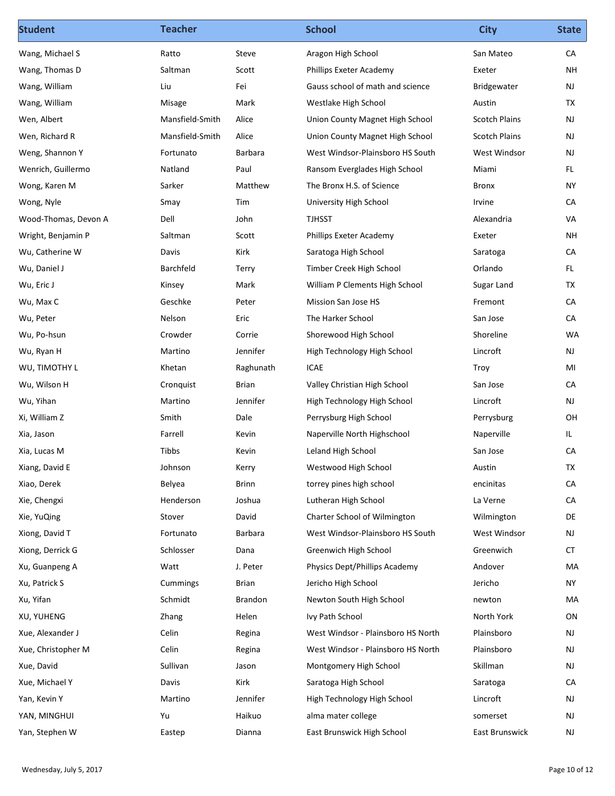| San Mateo<br>Exeter<br>Bridgewater<br>Austin<br><b>Scotch Plains</b><br><b>Scotch Plains</b><br>West Windsor<br>Miami<br>Bronx<br>Irvine<br>Alexandria<br>Exeter<br>Saratoga<br>Orlando<br>Sugar Land<br>Fremont<br>San Jose<br>Shoreline<br>Lincroft<br>Troy<br>San Jose<br>Lincroft | CA<br>NH<br>NJ<br>TX<br><b>NJ</b><br>NJ<br>NJ<br>FL.<br><b>NY</b><br>CA<br>VA<br><b>NH</b><br>CA<br>FL.<br><b>TX</b><br>CA<br>${\sf CA}$<br>WA<br>NJ<br>MI<br>CA |
|---------------------------------------------------------------------------------------------------------------------------------------------------------------------------------------------------------------------------------------------------------------------------------------|------------------------------------------------------------------------------------------------------------------------------------------------------------------|
|                                                                                                                                                                                                                                                                                       |                                                                                                                                                                  |
|                                                                                                                                                                                                                                                                                       |                                                                                                                                                                  |
|                                                                                                                                                                                                                                                                                       |                                                                                                                                                                  |
|                                                                                                                                                                                                                                                                                       |                                                                                                                                                                  |
|                                                                                                                                                                                                                                                                                       |                                                                                                                                                                  |
|                                                                                                                                                                                                                                                                                       |                                                                                                                                                                  |
|                                                                                                                                                                                                                                                                                       |                                                                                                                                                                  |
|                                                                                                                                                                                                                                                                                       |                                                                                                                                                                  |
|                                                                                                                                                                                                                                                                                       |                                                                                                                                                                  |
|                                                                                                                                                                                                                                                                                       |                                                                                                                                                                  |
|                                                                                                                                                                                                                                                                                       |                                                                                                                                                                  |
|                                                                                                                                                                                                                                                                                       |                                                                                                                                                                  |
|                                                                                                                                                                                                                                                                                       |                                                                                                                                                                  |
|                                                                                                                                                                                                                                                                                       |                                                                                                                                                                  |
|                                                                                                                                                                                                                                                                                       |                                                                                                                                                                  |
|                                                                                                                                                                                                                                                                                       |                                                                                                                                                                  |
|                                                                                                                                                                                                                                                                                       |                                                                                                                                                                  |
|                                                                                                                                                                                                                                                                                       |                                                                                                                                                                  |
|                                                                                                                                                                                                                                                                                       |                                                                                                                                                                  |
|                                                                                                                                                                                                                                                                                       |                                                                                                                                                                  |
|                                                                                                                                                                                                                                                                                       |                                                                                                                                                                  |
|                                                                                                                                                                                                                                                                                       | NJ                                                                                                                                                               |
| Perrysburg                                                                                                                                                                                                                                                                            | OH                                                                                                                                                               |
| Naperville                                                                                                                                                                                                                                                                            | IL.                                                                                                                                                              |
| San Jose                                                                                                                                                                                                                                                                              | CA                                                                                                                                                               |
| Austin                                                                                                                                                                                                                                                                                | <b>TX</b>                                                                                                                                                        |
| encinitas                                                                                                                                                                                                                                                                             | CA                                                                                                                                                               |
| La Verne                                                                                                                                                                                                                                                                              | CA                                                                                                                                                               |
| Wilmington                                                                                                                                                                                                                                                                            | DE                                                                                                                                                               |
| West Windsor                                                                                                                                                                                                                                                                          | NJ                                                                                                                                                               |
| Greenwich                                                                                                                                                                                                                                                                             | <b>CT</b>                                                                                                                                                        |
| Andover                                                                                                                                                                                                                                                                               | MA                                                                                                                                                               |
| Jericho                                                                                                                                                                                                                                                                               | <b>NY</b>                                                                                                                                                        |
| newton                                                                                                                                                                                                                                                                                | MA                                                                                                                                                               |
| North York                                                                                                                                                                                                                                                                            | ON                                                                                                                                                               |
| Plainsboro                                                                                                                                                                                                                                                                            | NJ                                                                                                                                                               |
| Plainsboro                                                                                                                                                                                                                                                                            | NJ                                                                                                                                                               |
| Skillman                                                                                                                                                                                                                                                                              | NJ                                                                                                                                                               |
| Saratoga                                                                                                                                                                                                                                                                              | CA                                                                                                                                                               |
| Lincroft                                                                                                                                                                                                                                                                              | $\mathsf{NJ}$                                                                                                                                                    |
| somerset                                                                                                                                                                                                                                                                              | NJ                                                                                                                                                               |
| East Brunswick                                                                                                                                                                                                                                                                        | $\mathsf{NJ}$                                                                                                                                                    |
|                                                                                                                                                                                                                                                                                       |                                                                                                                                                                  |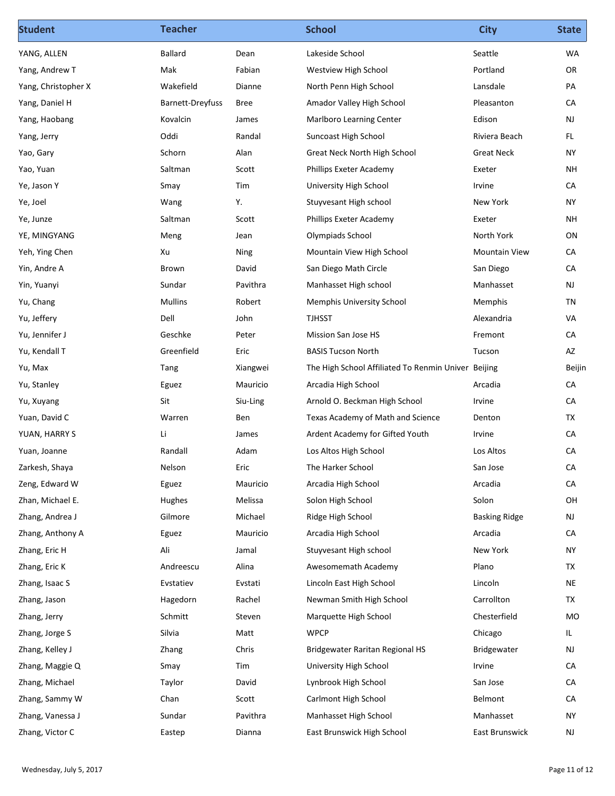| <b>Student</b>                   | <b>Teacher</b>          |              | <b>School</b>                                       | <b>City</b>           | <b>State</b>  |
|----------------------------------|-------------------------|--------------|-----------------------------------------------------|-----------------------|---------------|
| YANG, ALLEN                      | Ballard                 | Dean         | Lakeside School                                     | Seattle               | WA            |
| Yang, Andrew T                   | Mak                     | Fabian       | Westview High School                                | Portland              | OR            |
| Yang, Christopher X              | Wakefield               | Dianne       | North Penn High School                              | Lansdale              | PA            |
| Yang, Daniel H                   | <b>Barnett-Dreyfuss</b> | Bree         | Amador Valley High School                           | Pleasanton            | CA            |
| Yang, Haobang                    | Kovalcin                | James        | Marlboro Learning Center                            | Edison                | NJ            |
| Yang, Jerry                      | Oddi                    | Randal       | Suncoast High School                                | Riviera Beach         | FL.           |
| Yao, Gary                        | Schorn                  | Alan         | Great Neck North High School                        | <b>Great Neck</b>     | <b>NY</b>     |
| Yao, Yuan                        | Saltman                 | Scott        | Phillips Exeter Academy                             | Exeter                | NH            |
| Ye, Jason Y                      | Smay                    | Tim          | University High School                              | Irvine                | CA            |
| Ye, Joel                         | Wang                    | Υ.           | Stuyvesant High school                              | New York              | <b>NY</b>     |
| Ye, Junze                        | Saltman                 | Scott        | Phillips Exeter Academy                             | Exeter                | <b>NH</b>     |
| YE, MINGYANG                     | Meng                    | Jean         | Olympiads School                                    | North York            | ON            |
| Yeh, Ying Chen                   | Xu                      | Ning         | Mountain View High School                           | <b>Mountain View</b>  | ${\sf CA}$    |
| Yin, Andre A                     | Brown                   | David        | San Diego Math Circle                               | San Diego             | CA            |
| Yin, Yuanyi                      | Sundar                  | Pavithra     | Manhasset High school                               | Manhasset             | NJ            |
| Yu, Chang                        | Mullins                 | Robert       | <b>Memphis University School</b>                    | Memphis               | TN            |
| Yu, Jeffery                      | Dell                    | John         | TJHSST                                              | Alexandria            | VA            |
| Yu, Jennifer J                   | Geschke                 | Peter        | Mission San Jose HS                                 | Fremont               | CA            |
| Yu, Kendall T                    | Greenfield              | Eric         | <b>BASIS Tucson North</b>                           | Tucson                | AZ            |
| Yu, Max                          | Tang                    | Xiangwei     | The High School Affiliated To Renmin Univer Beijing |                       | Beijin        |
| Yu, Stanley                      | Eguez                   | Mauricio     | Arcadia High School                                 | Arcadia               | CA            |
| Yu, Xuyang                       | Sit                     | Siu-Ling     | Arnold O. Beckman High School                       | Irvine                | CA            |
| Yuan, David C                    | Warren<br>Li            | Ben          | Texas Academy of Math and Science                   | Denton<br>Irvine      | TX<br>CA      |
| YUAN, HARRY S                    |                         | James        | Ardent Academy for Gifted Youth                     |                       | CA            |
| Yuan, Joanne                     | Randall                 | Adam<br>Eric | Los Altos High School<br>The Harker School          | Los Altos<br>San Jose | CA            |
| Zarkesh, Shaya<br>Zeng, Edward W | Nelson<br>Eguez         | Mauricio     | Arcadia High School                                 | Arcadia               | CA            |
| Zhan, Michael E.                 | Hughes                  | Melissa      | Solon High School                                   | Solon                 | OH            |
| Zhang, Andrea J                  | Gilmore                 | Michael      | Ridge High School                                   | <b>Basking Ridge</b>  | NJ            |
| Zhang, Anthony A                 | Eguez                   | Mauricio     | Arcadia High School                                 | Arcadia               | ${\sf CA}$    |
| Zhang, Eric H                    | Ali                     | Jamal        | Stuyvesant High school                              | New York              | <b>NY</b>     |
| Zhang, Eric K                    | Andreescu               | Alina        | Awesomemath Academy                                 | Plano                 | <b>TX</b>     |
| Zhang, Isaac S                   | Evstatiev               | Evstati      | Lincoln East High School                            | Lincoln               | <b>NE</b>     |
| Zhang, Jason                     | Hagedorn                | Rachel       | Newman Smith High School                            | Carrollton            | TX            |
| Zhang, Jerry                     | Schmitt                 | Steven       | Marquette High School                               | Chesterfield          | MO            |
| Zhang, Jorge S                   | Silvia                  | Matt         | <b>WPCP</b>                                         | Chicago               | L             |
| Zhang, Kelley J                  | Zhang                   | Chris        | <b>Bridgewater Raritan Regional HS</b>              | Bridgewater           | NJ            |
| Zhang, Maggie Q                  | Smay                    | Tim          | University High School                              | Irvine                | ${\sf CA}$    |
| Zhang, Michael                   | Taylor                  | David        | Lynbrook High School                                | San Jose              | CA            |
| Zhang, Sammy W                   | Chan                    | Scott        | Carlmont High School                                | Belmont               | ${\sf CA}$    |
| Zhang, Vanessa J                 | Sundar                  | Pavithra     | Manhasset High School                               | Manhasset             | <b>NY</b>     |
|                                  |                         |              |                                                     |                       |               |
| Zhang, Victor C                  | Eastep                  | Dianna       | East Brunswick High School                          | East Brunswick        | $\mathsf{NJ}$ |
|                                  |                         |              |                                                     |                       |               |
| Wednesday, July 5, 2017          |                         |              |                                                     |                       | Page 11 of 12 |